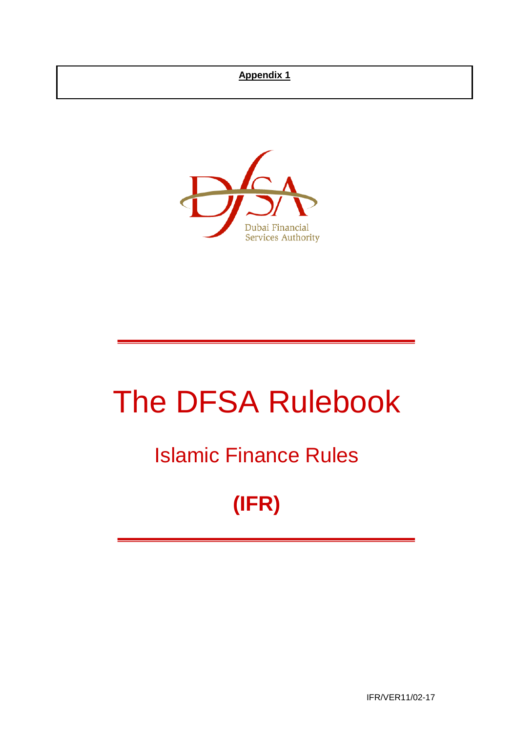## **Appendix 1**



# The DFSA Rulebook

## Islamic Finance Rules

## **(IFR)**

IFR/VER11/02-17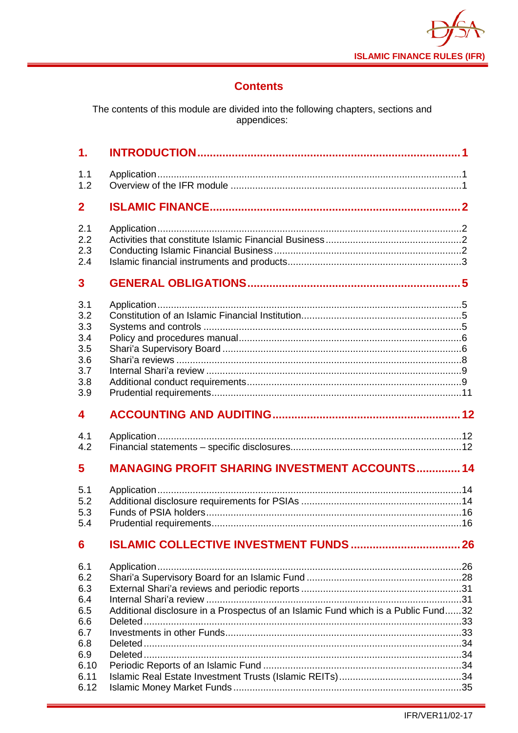

## **Contents**

The contents of this module are divided into the following chapters, sections and<br>appendices:

| $\mathbf{1}$ .                                              |                                                       |  |
|-------------------------------------------------------------|-------------------------------------------------------|--|
| 1.1<br>1.2                                                  |                                                       |  |
| $\overline{2}$                                              |                                                       |  |
| 2.1<br>2.2<br>2.3<br>2.4                                    |                                                       |  |
| 3                                                           |                                                       |  |
| 3.1<br>3.2<br>3.3<br>3.4<br>3.5<br>3.6<br>3.7<br>3.8<br>3.9 |                                                       |  |
| 4                                                           |                                                       |  |
|                                                             |                                                       |  |
| 4.1<br>4.2                                                  |                                                       |  |
| 5                                                           | <b>MANAGING PROFIT SHARING INVESTMENT ACCOUNTS 14</b> |  |
| 5.1<br>5.2<br>5.3<br>5.4                                    |                                                       |  |
| 6                                                           |                                                       |  |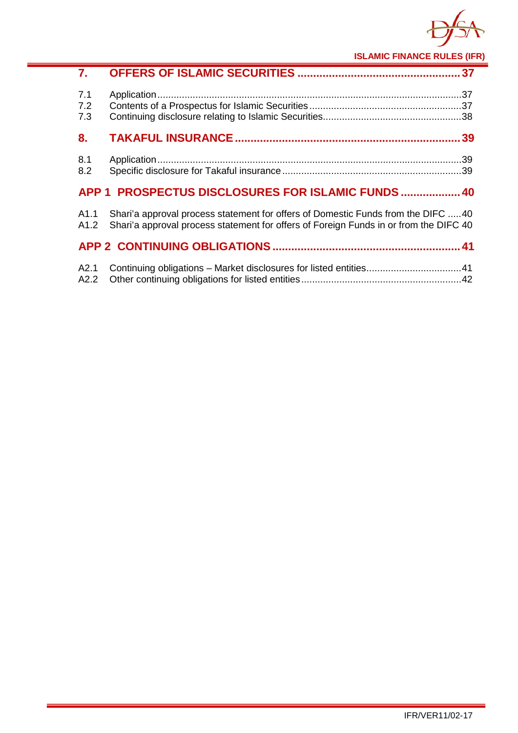

**ISLAMIC FINANCE RULES (IFR)**

| 7.                       |                                                                                                                                                                           |  |
|--------------------------|---------------------------------------------------------------------------------------------------------------------------------------------------------------------------|--|
| 7.1<br>7.2<br>7.3        |                                                                                                                                                                           |  |
| 8.                       |                                                                                                                                                                           |  |
| 8.1<br>8.2               |                                                                                                                                                                           |  |
| APP 1                    | <b>PROSPECTUS DISCLOSURES FOR ISLAMIC FUNDS  40</b>                                                                                                                       |  |
| A <sub>1.1</sub><br>A1.2 | Shari'a approval process statement for offers of Domestic Funds from the DIFC 40<br>Shari'a approval process statement for offers of Foreign Funds in or from the DIFC 40 |  |
|                          |                                                                                                                                                                           |  |
| A2.1<br>A2.2             |                                                                                                                                                                           |  |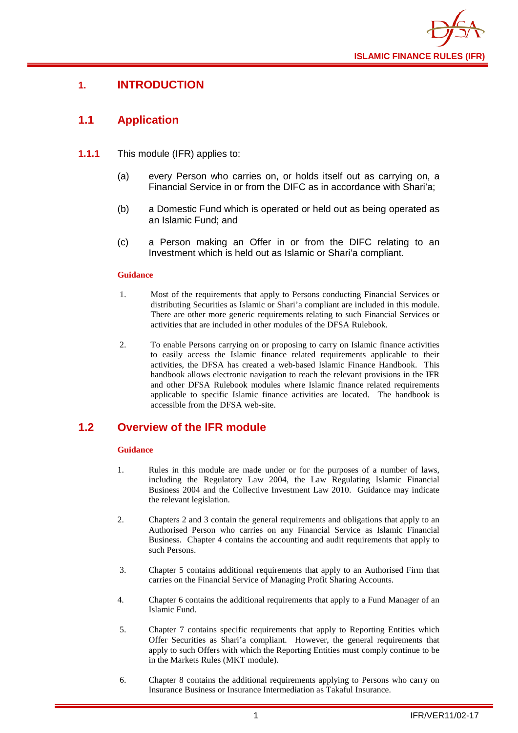

## <span id="page-3-0"></span>**1. INTRODUCTION**

## <span id="page-3-1"></span>**1.1 Application**

- **1.1.1** This module (IFR) applies to:
	- (a) every Person who carries on, or holds itself out as carrying on, a Financial Service in or from the DIFC as in accordance with Shari'a;
	- (b) a Domestic Fund which is operated or held out as being operated as an Islamic Fund; and
	- (c) a Person making an Offer in or from the DIFC relating to an Investment which is held out as Islamic or Shari'a compliant.

#### **Guidance**

- 1. Most of the requirements that apply to Persons conducting Financial Services or distributing Securities as Islamic or Shari'a compliant are included in this module. There are other more generic requirements relating to such Financial Services or activities that are included in other modules of the DFSA Rulebook.
- 2. To enable Persons carrying on or proposing to carry on Islamic finance activities to easily access the Islamic finance related requirements applicable to their activities, the DFSA has created a web-based Islamic Finance Handbook. This handbook allows electronic navigation to reach the relevant provisions in the IFR and other DFSA Rulebook modules where Islamic finance related requirements applicable to specific Islamic finance activities are located. The handbook is accessible from the DFSA web-site.

## <span id="page-3-2"></span>**1.2 Overview of the IFR module**

#### **Guidance**

- 1. Rules in this module are made under or for the purposes of a number of laws, including the Regulatory Law 2004, the Law Regulating Islamic Financial Business 2004 and the Collective Investment Law 2010. Guidance may indicate the relevant legislation.
- 2. Chapters 2 and 3 contain the general requirements and obligations that apply to an Authorised Person who carries on any Financial Service as Islamic Financial Business. Chapter 4 contains the accounting and audit requirements that apply to such Persons.
- 3. Chapter 5 contains additional requirements that apply to an Authorised Firm that carries on the Financial Service of Managing Profit Sharing Accounts.
- 4. Chapter 6 contains the additional requirements that apply to a Fund Manager of an Islamic Fund.
- 5. Chapter 7 contains specific requirements that apply to Reporting Entities which Offer Securities as Shari'a compliant. However, the general requirements that apply to such Offers with which the Reporting Entities must comply continue to be in the Markets Rules (MKT module).
- 6. Chapter 8 contains the additional requirements applying to Persons who carry on Insurance Business or Insurance Intermediation as Takaful Insurance.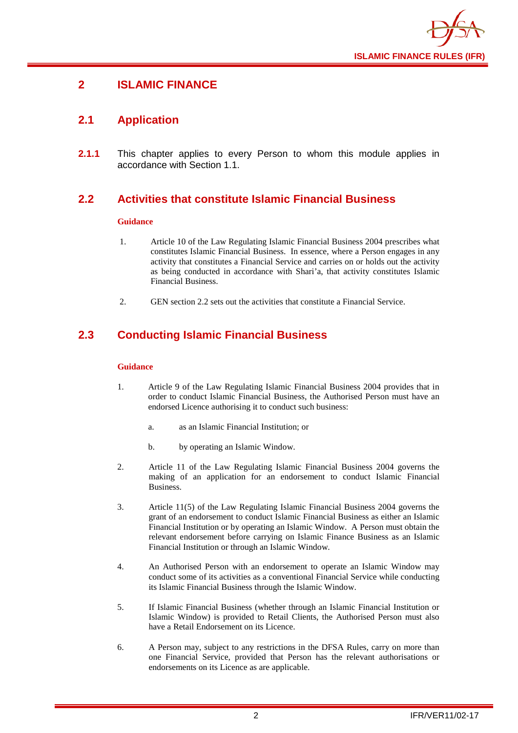

## <span id="page-4-0"></span>**2 ISLAMIC FINANCE**

## <span id="page-4-1"></span>**2.1 Application**

**2.1.1** This chapter applies to every Person to whom this module applies in accordance with Section 1.1.

## <span id="page-4-2"></span>**2.2 Activities that constitute Islamic Financial Business**

#### **Guidance**

- 1. Article 10 of the Law Regulating Islamic Financial Business 2004 prescribes what constitutes Islamic Financial Business. In essence, where a Person engages in any activity that constitutes a Financial Service and carries on or holds out the activity as being conducted in accordance with Shari'a, that activity constitutes Islamic Financial Business.
- 2. GEN section 2.2 sets out the activities that constitute a Financial Service.

## <span id="page-4-3"></span>**2.3 Conducting Islamic Financial Business**

#### **Guidance**

- 1. Article 9 of the Law Regulating Islamic Financial Business 2004 provides that in order to conduct Islamic Financial Business, the Authorised Person must have an endorsed Licence authorising it to conduct such business:
	- a. as an Islamic Financial Institution; or
	- b. by operating an Islamic Window.
- 2. Article 11 of the Law Regulating Islamic Financial Business 2004 governs the making of an application for an endorsement to conduct Islamic Financial Business.
- 3. Article 11(5) of the Law Regulating Islamic Financial Business 2004 governs the grant of an endorsement to conduct Islamic Financial Business as either an Islamic Financial Institution or by operating an Islamic Window. A Person must obtain the relevant endorsement before carrying on Islamic Finance Business as an Islamic Financial Institution or through an Islamic Window.
- 4. An Authorised Person with an endorsement to operate an Islamic Window may conduct some of its activities as a conventional Financial Service while conducting its Islamic Financial Business through the Islamic Window.
- 5. If Islamic Financial Business (whether through an Islamic Financial Institution or Islamic Window) is provided to Retail Clients, the Authorised Person must also have a Retail Endorsement on its Licence.
- 6. A Person may, subject to any restrictions in the DFSA Rules, carry on more than one Financial Service, provided that Person has the relevant authorisations or endorsements on its Licence as are applicable.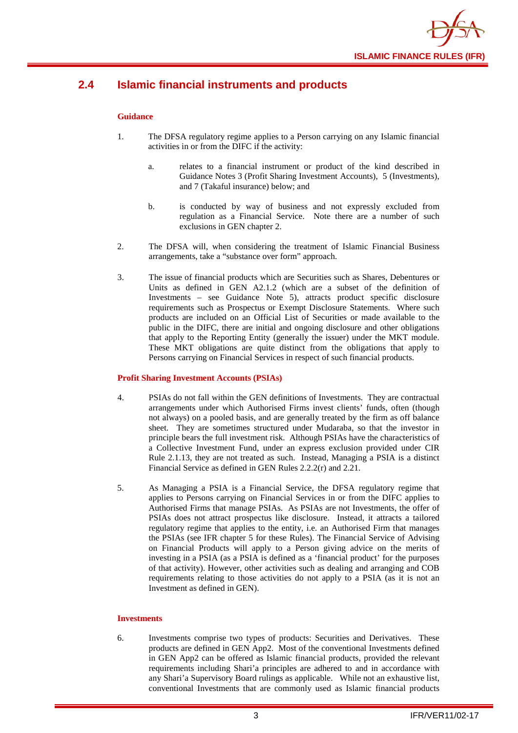

## <span id="page-5-0"></span>**2.4 Islamic financial instruments and products**

#### **Guidance**

- 1. The DFSA regulatory regime applies to a Person carrying on any Islamic financial activities in or from the DIFC if the activity:
	- a. relates to a financial instrument or product of the kind described in Guidance Notes 3 (Profit Sharing Investment Accounts), 5 (Investments), and 7 (Takaful insurance) below; and
	- b. is conducted by way of business and not expressly excluded from regulation as a Financial Service. Note there are a number of such exclusions in GEN chapter 2.
- 2. The DFSA will, when considering the treatment of Islamic Financial Business arrangements, take a "substance over form" approach.
- 3. The issue of financial products which are Securities such as Shares, Debentures or Units as defined in GEN A2.1.2 (which are a subset of the definition of Investments – see Guidance Note 5), attracts product specific disclosure requirements such as Prospectus or Exempt Disclosure Statements. Where such products are included on an Official List of Securities or made available to the public in the DIFC, there are initial and ongoing disclosure and other obligations that apply to the Reporting Entity (generally the issuer) under the MKT module. These MKT obligations are quite distinct from the obligations that apply to Persons carrying on Financial Services in respect of such financial products.

#### **Profit Sharing Investment Accounts (PSIAs)**

- 4. PSIAs do not fall within the GEN definitions of Investments. They are contractual arrangements under which Authorised Firms invest clients' funds, often (though not always) on a pooled basis, and are generally treated by the firm as off balance sheet. They are sometimes structured under Mudaraba, so that the investor in principle bears the full investment risk. Although PSIAs have the characteristics of a Collective Investment Fund, under an express exclusion provided under CIR Rule 2.1.13, they are not treated as such. Instead, Managing a PSIA is a distinct Financial Service as defined in GEN Rules 2.2.2(r) and 2.21.
- 5. As Managing a PSIA is a Financial Service, the DFSA regulatory regime that applies to Persons carrying on Financial Services in or from the DIFC applies to Authorised Firms that manage PSIAs. As PSIAs are not Investments, the offer of PSIAs does not attract prospectus like disclosure. Instead, it attracts a tailored regulatory regime that applies to the entity, i.e. an Authorised Firm that manages the PSIAs (see IFR chapter 5 for these Rules). The Financial Service of Advising on Financial Products will apply to a Person giving advice on the merits of investing in a PSIA (as a PSIA is defined as a 'financial product' for the purposes of that activity). However, other activities such as dealing and arranging and COB requirements relating to those activities do not apply to a PSIA (as it is not an Investment as defined in GEN).

#### **Investments**

6. Investments comprise two types of products: Securities and Derivatives. These products are defined in GEN App2. Most of the conventional Investments defined in GEN App2 can be offered as Islamic financial products, provided the relevant requirements including Shari'a principles are adhered to and in accordance with any Shari'a Supervisory Board rulings as applicable. While not an exhaustive list, conventional Investments that are commonly used as Islamic financial products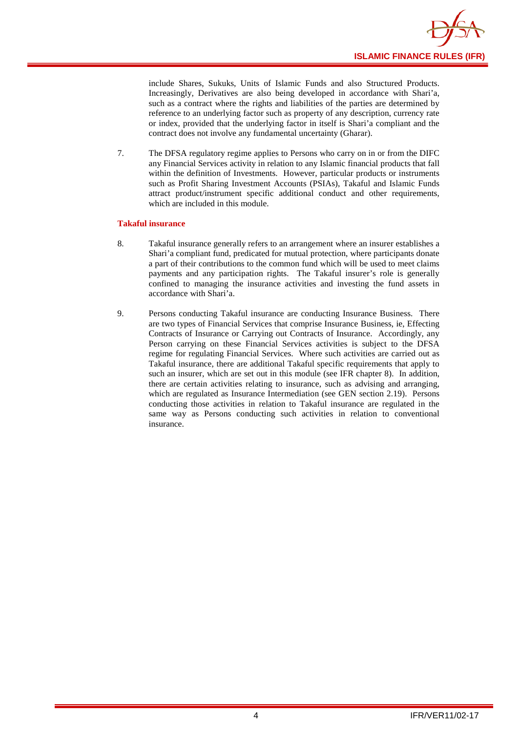

include Shares, Sukuks, Units of Islamic Funds and also Structured Products. Increasingly, Derivatives are also being developed in accordance with Shari'a, such as a contract where the rights and liabilities of the parties are determined by reference to an underlying factor such as property of any description, currency rate or index, provided that the underlying factor in itself is Shari'a compliant and the contract does not involve any fundamental uncertainty (Gharar).

7. The DFSA regulatory regime applies to Persons who carry on in or from the DIFC any Financial Services activity in relation to any Islamic financial products that fall within the definition of Investments. However, particular products or instruments such as Profit Sharing Investment Accounts (PSIAs), Takaful and Islamic Funds attract product/instrument specific additional conduct and other requirements, which are included in this module.

#### **Takaful insurance**

- 8. Takaful insurance generally refers to an arrangement where an insurer establishes a Shari'a compliant fund, predicated for mutual protection, where participants donate a part of their contributions to the common fund which will be used to meet claims payments and any participation rights. The Takaful insurer's role is generally confined to managing the insurance activities and investing the fund assets in accordance with Shari'a.
- 9. Persons conducting Takaful insurance are conducting Insurance Business. There are two types of Financial Services that comprise Insurance Business, ie, Effecting Contracts of Insurance or Carrying out Contracts of Insurance. Accordingly, any Person carrying on these Financial Services activities is subject to the DFSA regime for regulating Financial Services. Where such activities are carried out as Takaful insurance, there are additional Takaful specific requirements that apply to such an insurer, which are set out in this module (see IFR chapter 8). In addition, there are certain activities relating to insurance, such as advising and arranging, which are regulated as Insurance Intermediation (see GEN section 2.19). Persons conducting those activities in relation to Takaful insurance are regulated in the same way as Persons conducting such activities in relation to conventional insurance.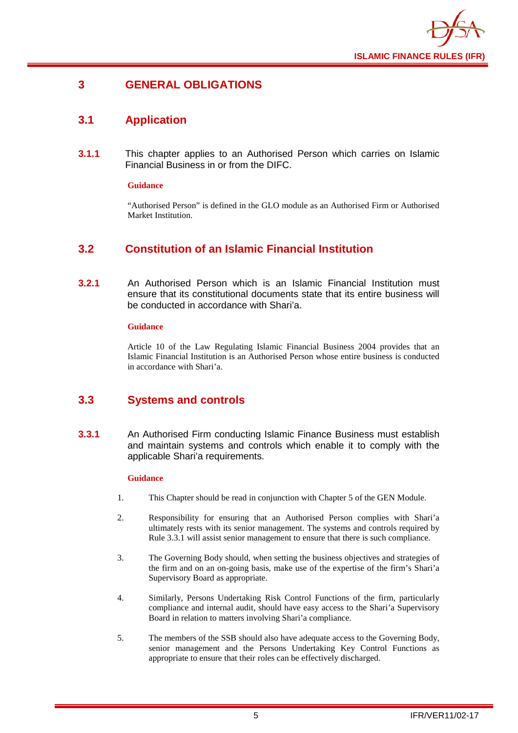

## <span id="page-7-0"></span>**3 GENERAL OBLIGATIONS**

## <span id="page-7-1"></span>**3.1 Application**

**3.1.1** This chapter applies to an Authorised Person which carries on Islamic Financial Business in or from the DIFC.

#### **Guidance**

"Authorised Person" is defined in the GLO module as an Authorised Firm or Authorised Market Institution.

## <span id="page-7-2"></span>**3.2 Constitution of an Islamic Financial Institution**

**3.2.1** An Authorised Person which is an Islamic Financial Institution must ensure that its constitutional documents state that its entire business will be conducted in accordance with Shari'a.

#### **Guidance**

Article 10 of the Law Regulating Islamic Financial Business 2004 provides that an Islamic Financial Institution is an Authorised Person whose entire business is conducted in accordance with Shari'a.

## <span id="page-7-3"></span>**3.3 Systems and controls**

**3.3.1** An Authorised Firm conducting Islamic Finance Business must establish and maintain systems and controls which enable it to comply with the applicable Shari'a requirements.

#### **Guidance**

- 1. This Chapter should be read in conjunction with Chapter 5 of the GEN Module.
- 2. Responsibility for ensuring that an Authorised Person complies with Shari'a ultimately rests with its senior management. The systems and controls required by Rule 3.3.1 will assist senior management to ensure that there is such compliance.
- 3. The Governing Body should, when setting the business objectives and strategies of the firm and on an on-going basis, make use of the expertise of the firm's Shari'a Supervisory Board as appropriate.
- 4. Similarly, Persons Undertaking Risk Control Functions of the firm, particularly compliance and internal audit, should have easy access to the Shari'a Supervisory Board in relation to matters involving Shari'a compliance.
- 5. The members of the SSB should also have adequate access to the Governing Body, senior management and the Persons Undertaking Key Control Functions as appropriate to ensure that their roles can be effectively discharged.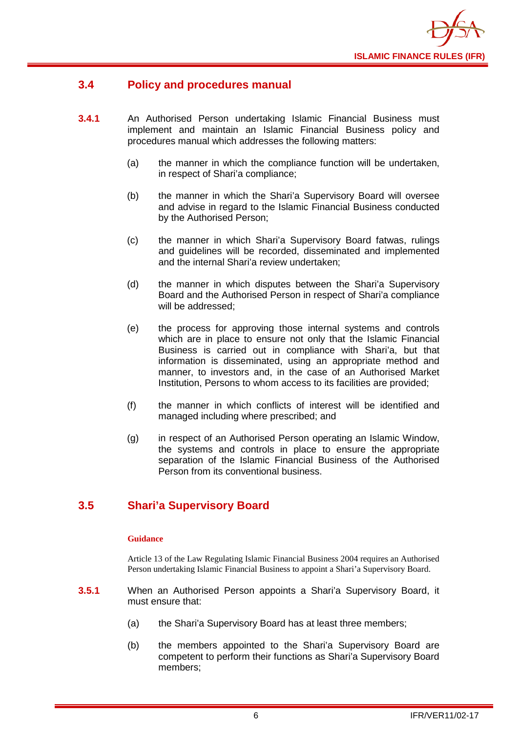

## <span id="page-8-0"></span>**3.4 Policy and procedures manual**

- **3.4.1** An Authorised Person undertaking Islamic Financial Business must implement and maintain an Islamic Financial Business policy and procedures manual which addresses the following matters:
	- (a) the manner in which the compliance function will be undertaken, in respect of Shari'a compliance;
	- (b) the manner in which the Shari'a Supervisory Board will oversee and advise in regard to the Islamic Financial Business conducted by the Authorised Person;
	- (c) the manner in which Shari'a Supervisory Board fatwas, rulings and guidelines will be recorded, disseminated and implemented and the internal Shari'a review undertaken;
	- (d) the manner in which disputes between the Shari'a Supervisory Board and the Authorised Person in respect of Shari'a compliance will be addressed;
	- (e) the process for approving those internal systems and controls which are in place to ensure not only that the Islamic Financial Business is carried out in compliance with Shari'a, but that information is disseminated, using an appropriate method and manner, to investors and, in the case of an Authorised Market Institution, Persons to whom access to its facilities are provided;
	- (f) the manner in which conflicts of interest will be identified and managed including where prescribed; and
	- (g) in respect of an Authorised Person operating an Islamic Window, the systems and controls in place to ensure the appropriate separation of the Islamic Financial Business of the Authorised Person from its conventional business.

## <span id="page-8-1"></span>**3.5 Shari'a Supervisory Board**

#### **Guidance**

Article 13 of the Law Regulating Islamic Financial Business 2004 requires an Authorised Person undertaking Islamic Financial Business to appoint a Shari'a Supervisory Board.

- **3.5.1** When an Authorised Person appoints a Shari'a Supervisory Board, it must ensure that:
	- (a) the Shari'a Supervisory Board has at least three members;
	- (b) the members appointed to the Shari'a Supervisory Board are competent to perform their functions as Shari'a Supervisory Board members;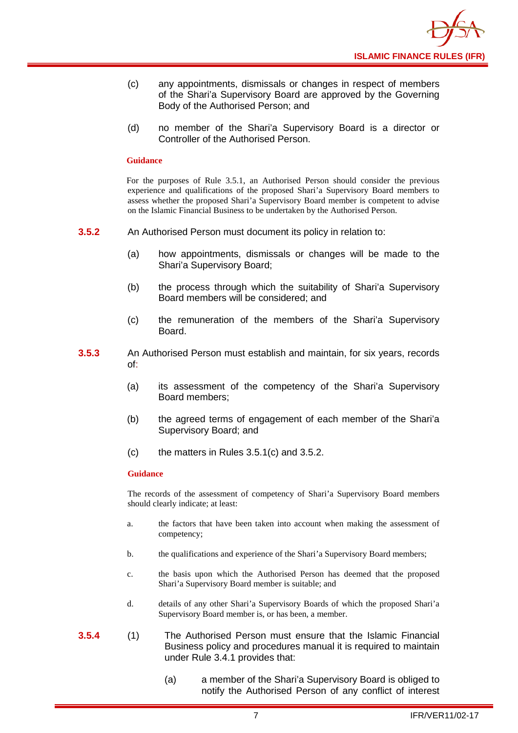

- (c) any appointments, dismissals or changes in respect of members of the Shari'a Supervisory Board are approved by the Governing Body of the Authorised Person; and
- (d) no member of the Shari'a Supervisory Board is a director or Controller of the Authorised Person.

#### **Guidance**

For the purposes of Rule 3.5.1, an Authorised Person should consider the previous experience and qualifications of the proposed Shari'a Supervisory Board members to assess whether the proposed Shari'a Supervisory Board member is competent to advise on the Islamic Financial Business to be undertaken by the Authorised Person.

- **3.5.2** An Authorised Person must document its policy in relation to:
	- (a) how appointments, dismissals or changes will be made to the Shari'a Supervisory Board;
	- (b) the process through which the suitability of Shari'a Supervisory Board members will be considered; and
	- (c) the remuneration of the members of the Shari'a Supervisory Board.
- **3.5.3** An Authorised Person must establish and maintain, for six years, records of:
	- (a) its assessment of the competency of the Shari'a Supervisory Board members;
	- (b) the agreed terms of engagement of each member of the Shari'a Supervisory Board; and
	- (c) the matters in Rules 3.5.1(c) and 3.5.2.

#### **Guidance**

The records of the assessment of competency of Shari'a Supervisory Board members should clearly indicate; at least:

- a. the factors that have been taken into account when making the assessment of competency;
- b. the qualifications and experience of the Shari'a Supervisory Board members;
- c. the basis upon which the Authorised Person has deemed that the proposed Shari'a Supervisory Board member is suitable; and
- d. details of any other Shari'a Supervisory Boards of which the proposed Shari'a Supervisory Board member is, or has been, a member.
- **3.5.4** (1) The Authorised Person must ensure that the Islamic Financial Business policy and procedures manual it is required to maintain under Rule 3.4.1 provides that:
	- (a) a member of the Shari'a Supervisory Board is obliged to notify the Authorised Person of any conflict of interest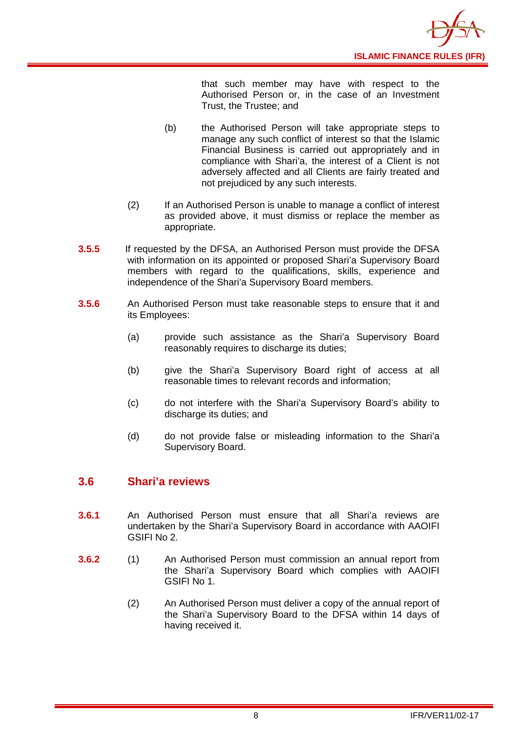

that such member may have with respect to the Authorised Person or, in the case of an Investment Trust, the Trustee; and

- (b) the Authorised Person will take appropriate steps to manage any such conflict of interest so that the Islamic Financial Business is carried out appropriately and in compliance with Shari'a, the interest of a Client is not adversely affected and all Clients are fairly treated and not prejudiced by any such interests.
- (2) If an Authorised Person is unable to manage a conflict of interest as provided above, it must dismiss or replace the member as appropriate.
- **3.5.5** If requested by the DFSA, an Authorised Person must provide the DFSA with information on its appointed or proposed Shari'a Supervisory Board members with regard to the qualifications, skills, experience and independence of the Shari'a Supervisory Board members.
- **3.5.6** An Authorised Person must take reasonable steps to ensure that it and its Employees:
	- (a) provide such assistance as the Shari'a Supervisory Board reasonably requires to discharge its duties;
	- (b) give the Shari'a Supervisory Board right of access at all reasonable times to relevant records and information;
	- (c) do not interfere with the Shari'a Supervisory Board's ability to discharge its duties; and
	- (d) do not provide false or misleading information to the Shari'a Supervisory Board.

## <span id="page-10-0"></span>**3.6 Shari'a reviews**

- **3.6.1** An Authorised Person must ensure that all Shari'a reviews are undertaken by the Shari'a Supervisory Board in accordance with AAOIFI GSIFI No 2.
- **3.6.2** (1) An Authorised Person must commission an annual report from the Shari'a Supervisory Board which complies with AAOIFI GSIFI No 1.
	- (2) An Authorised Person must deliver a copy of the annual report of the Shari'a Supervisory Board to the DFSA within 14 days of having received it.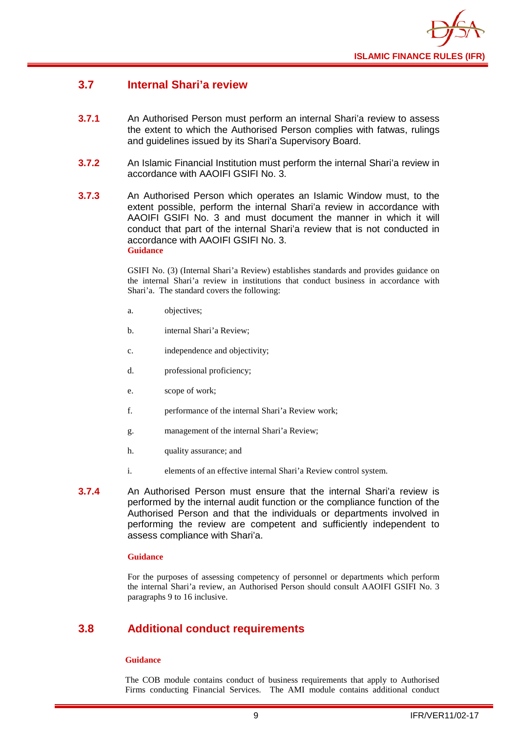

## <span id="page-11-0"></span>**3.7 Internal Shari'a review**

- **3.7.1** An Authorised Person must perform an internal Shari'a review to assess the extent to which the Authorised Person complies with fatwas, rulings and guidelines issued by its Shari'a Supervisory Board.
- **3.7.2** An Islamic Financial Institution must perform the internal Shari'a review in accordance with AAOIFI GSIFI No. 3.
- **3.7.3** An Authorised Person which operates an Islamic Window must, to the extent possible, perform the internal Shari'a review in accordance with AAOIFI GSIFI No. 3 and must document the manner in which it will conduct that part of the internal Shari'a review that is not conducted in accordance with AAOIFI GSIFI No. 3. **Guidance**

GSIFI No. (3) (Internal Shari'a Review) establishes standards and provides guidance on the internal Shari'a review in institutions that conduct business in accordance with Shari'a. The standard covers the following:

- a. objectives;
- b. internal Shari'a Review;
- c. independence and objectivity;
- d. professional proficiency;
- e. scope of work;
- f. performance of the internal Shari'a Review work;
- g. management of the internal Shari'a Review;
- h. quality assurance; and
- i. elements of an effective internal Shari'a Review control system.
- **3.7.4** An Authorised Person must ensure that the internal Shari'a review is performed by the internal audit function or the compliance function of the Authorised Person and that the individuals or departments involved in performing the review are competent and sufficiently independent to assess compliance with Shari'a.

#### **Guidance**

For the purposes of assessing competency of personnel or departments which perform the internal Shari'a review, an Authorised Person should consult AAOIFI GSIFI No. 3 paragraphs 9 to 16 inclusive.

## <span id="page-11-1"></span>**3.8 Additional conduct requirements**

#### **Guidance**

The COB module contains conduct of business requirements that apply to Authorised Firms conducting Financial Services. The AMI module contains additional conduct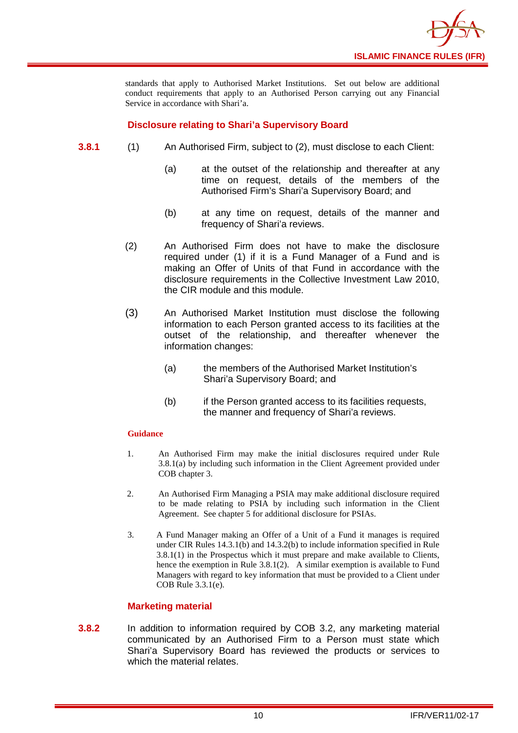

standards that apply to Authorised Market Institutions. Set out below are additional conduct requirements that apply to an Authorised Person carrying out any Financial Service in accordance with Shari'a.

#### **Disclosure relating to Shari'a Supervisory Board**

- **3.8.1** (1) An Authorised Firm, subject to (2), must disclose to each Client:
	- (a) at the outset of the relationship and thereafter at any time on request, details of the members of the Authorised Firm's Shari'a Supervisory Board; and
	- (b) at any time on request, details of the manner and frequency of Shari'a reviews.
	- (2) An Authorised Firm does not have to make the disclosure required under (1) if it is a Fund Manager of a Fund and is making an Offer of Units of that Fund in accordance with the disclosure requirements in the Collective Investment Law 2010, the CIR module and this module.
	- (3) An Authorised Market Institution must disclose the following information to each Person granted access to its facilities at the outset of the relationship, and thereafter whenever the information changes:
		- (a) the members of the Authorised Market Institution's Shari'a Supervisory Board; and
		- (b) if the Person granted access to its facilities requests, the manner and frequency of Shari'a reviews.

#### **Guidance**

- 1. An Authorised Firm may make the initial disclosures required under Rule 3.8.1(a) by including such information in the Client Agreement provided under COB chapter 3.
- 2. An Authorised Firm Managing a PSIA may make additional disclosure required to be made relating to PSIA by including such information in the Client Agreement. See chapter 5 for additional disclosure for PSIAs.
- 3. A Fund Manager making an Offer of a Unit of a Fund it manages is required under CIR Rules 14.3.1(b) and 14.3.2(b) to include information specified in Rule 3.8.1(1) in the Prospectus which it must prepare and make available to Clients, hence the exemption in Rule 3.8.1(2). A similar exemption is available to Fund Managers with regard to key information that must be provided to a Client under COB Rule 3.3.1(e).

#### **Marketing material**

**3.8.2** In addition to information required by COB 3.2, any marketing material communicated by an Authorised Firm to a Person must state which Shari'a Supervisory Board has reviewed the products or services to which the material relates.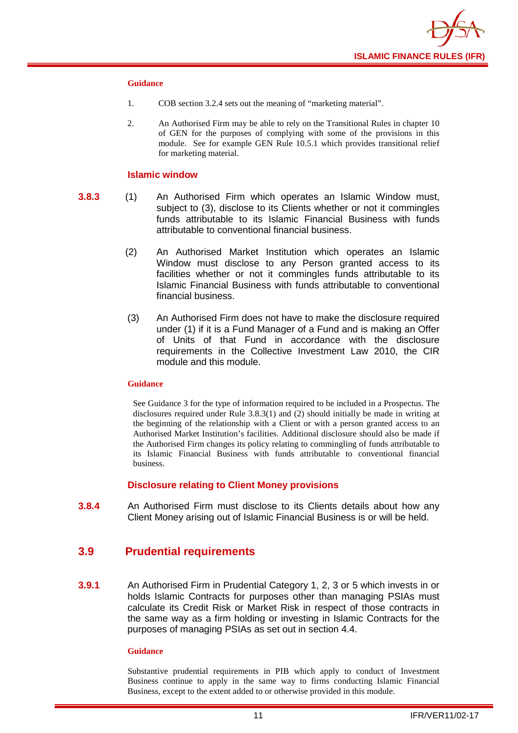

#### **Guidance**

- 1. COB section 3.2.4 sets out the meaning of "marketing material".
- 2. An Authorised Firm may be able to rely on the Transitional Rules in chapter 10 of GEN for the purposes of complying with some of the provisions in this module. See for example GEN Rule 10.5.1 which provides transitional relief for marketing material.

#### **Islamic window**

- **3.8.3** (1) An Authorised Firm which operates an Islamic Window must, subject to (3), disclose to its Clients whether or not it commingles funds attributable to its Islamic Financial Business with funds attributable to conventional financial business.
	- (2) An Authorised Market Institution which operates an Islamic Window must disclose to any Person granted access to its facilities whether or not it commingles funds attributable to its Islamic Financial Business with funds attributable to conventional financial business.
	- (3) An Authorised Firm does not have to make the disclosure required under (1) if it is a Fund Manager of a Fund and is making an Offer of Units of that Fund in accordance with the disclosure requirements in the Collective Investment Law 2010, the CIR module and this module.

#### **Guidance**

See Guidance 3 for the type of information required to be included in a Prospectus. The disclosures required under Rule 3.8.3(1) and (2) should initially be made in writing at the beginning of the relationship with a Client or with a person granted access to an Authorised Market Institution's facilities. Additional disclosure should also be made if the Authorised Firm changes its policy relating to commingling of funds attributable to its Islamic Financial Business with funds attributable to conventional financial business.

#### **Disclosure relating to Client Money provisions**

**3.8.4** An Authorised Firm must disclose to its Clients details about how any Client Money arising out of Islamic Financial Business is or will be held.

### <span id="page-13-0"></span>**3.9 Prudential requirements**

**3.9.1** An Authorised Firm in Prudential Category 1, 2, 3 or 5 which invests in or holds Islamic Contracts for purposes other than managing PSIAs must calculate its Credit Risk or Market Risk in respect of those contracts in the same way as a firm holding or investing in Islamic Contracts for the purposes of managing PSIAs as set out in section 4.4.

#### **Guidance**

Substantive prudential requirements in PIB which apply to conduct of Investment Business continue to apply in the same way to firms conducting Islamic Financial Business, except to the extent added to or otherwise provided in this module.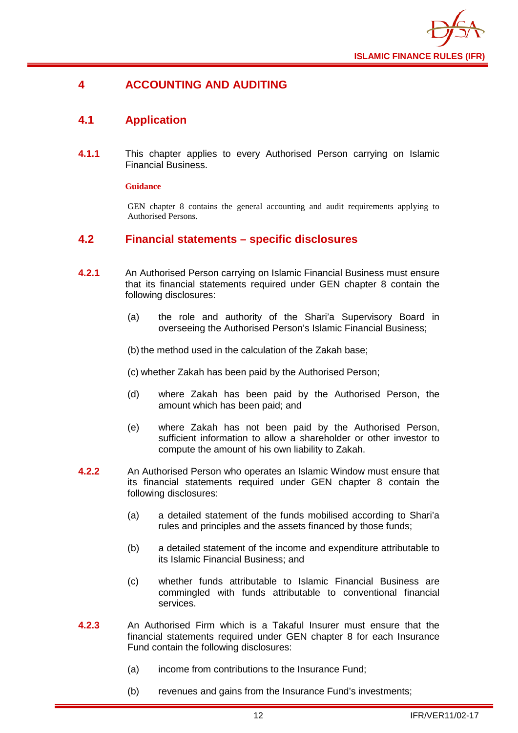

## <span id="page-14-0"></span>**4 ACCOUNTING AND AUDITING**

## <span id="page-14-1"></span>**4.1 Application**

**4.1.1** This chapter applies to every Authorised Person carrying on Islamic Financial Business.

#### **Guidance**

GEN chapter 8 contains the general accounting and audit requirements applying to Authorised Persons.

## <span id="page-14-2"></span>**4.2 Financial statements – specific disclosures**

- **4.2.1** An Authorised Person carrying on Islamic Financial Business must ensure that its financial statements required under GEN chapter 8 contain the following disclosures:
	- (a) the role and authority of the Shari'a Supervisory Board in overseeing the Authorised Person's Islamic Financial Business;

(b) the method used in the calculation of the Zakah base;

(c) whether Zakah has been paid by the Authorised Person;

- (d) where Zakah has been paid by the Authorised Person, the amount which has been paid; and
- (e) where Zakah has not been paid by the Authorised Person, sufficient information to allow a shareholder or other investor to compute the amount of his own liability to Zakah.
- **4.2.2** An Authorised Person who operates an Islamic Window must ensure that its financial statements required under GEN chapter 8 contain the following disclosures:
	- (a) a detailed statement of the funds mobilised according to Shari'a rules and principles and the assets financed by those funds;
	- (b) a detailed statement of the income and expenditure attributable to its Islamic Financial Business; and
	- (c) whether funds attributable to Islamic Financial Business are commingled with funds attributable to conventional financial services.
- **4.2.3** An Authorised Firm which is a Takaful Insurer must ensure that the financial statements required under GEN chapter 8 for each Insurance Fund contain the following disclosures:
	- (a) income from contributions to the Insurance Fund;
	- (b) revenues and gains from the Insurance Fund's investments;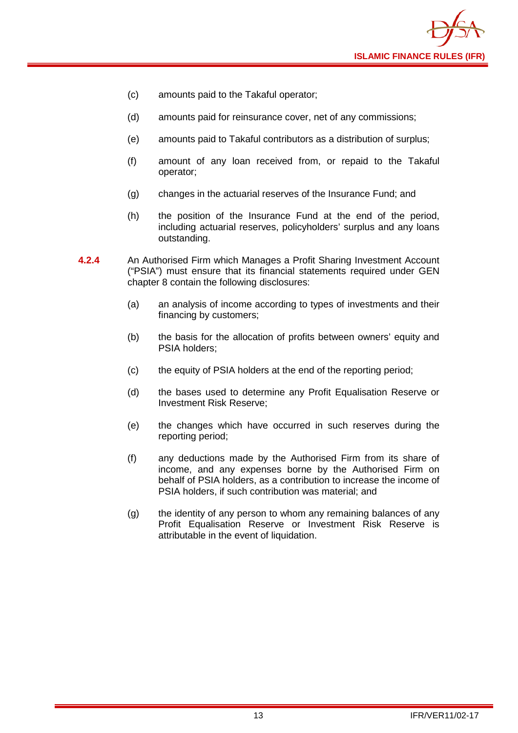

- (c) amounts paid to the Takaful operator;
- (d) amounts paid for reinsurance cover, net of any commissions;
- (e) amounts paid to Takaful contributors as a distribution of surplus;
- (f) amount of any loan received from, or repaid to the Takaful operator;
- (g) changes in the actuarial reserves of the Insurance Fund; and
- (h) the position of the Insurance Fund at the end of the period, including actuarial reserves, policyholders' surplus and any loans outstanding.
- **4.2.4** An Authorised Firm which Manages a Profit Sharing Investment Account ("PSIA") must ensure that its financial statements required under GEN chapter 8 contain the following disclosures:
	- (a) an analysis of income according to types of investments and their financing by customers;
	- (b) the basis for the allocation of profits between owners' equity and PSIA holders;
	- (c) the equity of PSIA holders at the end of the reporting period;
	- (d) the bases used to determine any Profit Equalisation Reserve or Investment Risk Reserve;
	- (e) the changes which have occurred in such reserves during the reporting period;
	- (f) any deductions made by the Authorised Firm from its share of income, and any expenses borne by the Authorised Firm on behalf of PSIA holders, as a contribution to increase the income of PSIA holders, if such contribution was material; and
	- (g) the identity of any person to whom any remaining balances of any Profit Equalisation Reserve or Investment Risk Reserve is attributable in the event of liquidation.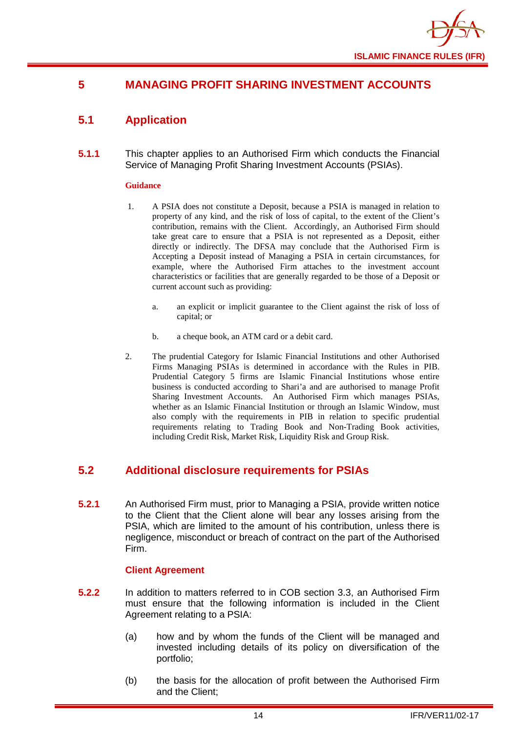

## <span id="page-16-0"></span>**5 MANAGING PROFIT SHARING INVESTMENT ACCOUNTS**

## <span id="page-16-1"></span>**5.1 Application**

**5.1.1** This chapter applies to an Authorised Firm which conducts the Financial Service of Managing Profit Sharing Investment Accounts (PSIAs).

#### **Guidance**

- 1. A PSIA does not constitute a Deposit, because a PSIA is managed in relation to property of any kind, and the risk of loss of capital, to the extent of the Client's contribution, remains with the Client. Accordingly, an Authorised Firm should take great care to ensure that a PSIA is not represented as a Deposit, either directly or indirectly. The DFSA may conclude that the Authorised Firm is Accepting a Deposit instead of Managing a PSIA in certain circumstances, for example, where the Authorised Firm attaches to the investment account characteristics or facilities that are generally regarded to be those of a Deposit or current account such as providing:
	- a. an explicit or implicit guarantee to the Client against the risk of loss of capital; or
	- b. a cheque book, an ATM card or a debit card.
- 2. The prudential Category for Islamic Financial Institutions and other Authorised Firms Managing PSIAs is determined in accordance with the Rules in PIB. Prudential Category 5 firms are Islamic Financial Institutions whose entire business is conducted according to Shari'a and are authorised to manage Profit Sharing Investment Accounts. An Authorised Firm which manages PSIAs, whether as an Islamic Financial Institution or through an Islamic Window, must also comply with the requirements in PIB in relation to specific prudential requirements relating to Trading Book and Non-Trading Book activities, including Credit Risk, Market Risk, Liquidity Risk and Group Risk.

## <span id="page-16-2"></span>**5.2 Additional disclosure requirements for PSIAs**

**5.2.1** An Authorised Firm must, prior to Managing a PSIA, provide written notice to the Client that the Client alone will bear any losses arising from the PSIA, which are limited to the amount of his contribution, unless there is negligence, misconduct or breach of contract on the part of the Authorised Firm.

#### **Client Agreement**

- **5.2.2** In addition to matters referred to in COB section 3.3, an Authorised Firm must ensure that the following information is included in the Client Agreement relating to a PSIA:
	- (a) how and by whom the funds of the Client will be managed and invested including details of its policy on diversification of the portfolio;
	- (b) the basis for the allocation of profit between the Authorised Firm and the Client;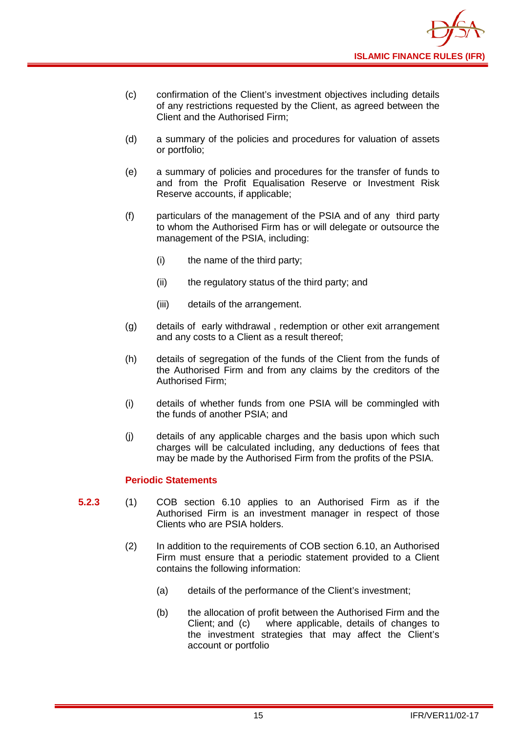

- (c) confirmation of the Client's investment objectives including details of any restrictions requested by the Client, as agreed between the Client and the Authorised Firm;
- (d) a summary of the policies and procedures for valuation of assets or portfolio;
- (e) a summary of policies and procedures for the transfer of funds to and from the Profit Equalisation Reserve or Investment Risk Reserve accounts, if applicable;
- (f) particulars of the management of the PSIA and of any third party to whom the Authorised Firm has or will delegate or outsource the management of the PSIA, including:
	- (i) the name of the third party;
	- (ii) the regulatory status of the third party; and
	- (iii) details of the arrangement.
- (g) details of early withdrawal , redemption or other exit arrangement and any costs to a Client as a result thereof;
- (h) details of segregation of the funds of the Client from the funds of the Authorised Firm and from any claims by the creditors of the Authorised Firm;
- (i) details of whether funds from one PSIA will be commingled with the funds of another PSIA; and
- (j) details of any applicable charges and the basis upon which such charges will be calculated including, any deductions of fees that may be made by the Authorised Firm from the profits of the PSIA.

#### **Periodic Statements**

- **5.2.3** (1) COB section 6.10 applies to an Authorised Firm as if the Authorised Firm is an investment manager in respect of those Clients who are PSIA holders.
	- (2) In addition to the requirements of COB section 6.10, an Authorised Firm must ensure that a periodic statement provided to a Client contains the following information:
		- (a) details of the performance of the Client's investment;
		- (b) the allocation of profit between the Authorised Firm and the Client: and (c) where applicable, details of changes to where applicable, details of changes to the investment strategies that may affect the Client's account or portfolio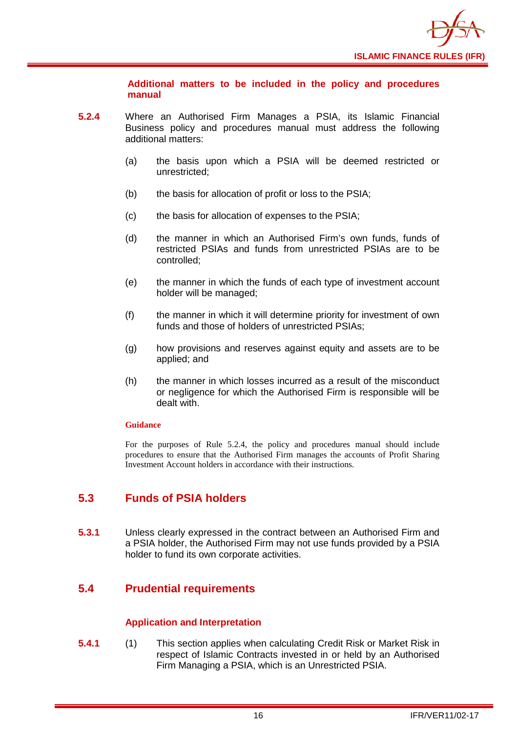

**Additional matters to be included in the policy and procedures manual** 

- **5.2.4** Where an Authorised Firm Manages a PSIA, its Islamic Financial Business policy and procedures manual must address the following additional matters:
	- (a) the basis upon which a PSIA will be deemed restricted or unrestricted;
	- (b) the basis for allocation of profit or loss to the PSIA;
	- (c) the basis for allocation of expenses to the PSIA;
	- (d) the manner in which an Authorised Firm's own funds, funds of restricted PSIAs and funds from unrestricted PSIAs are to be controlled;
	- (e) the manner in which the funds of each type of investment account holder will be managed;
	- (f) the manner in which it will determine priority for investment of own funds and those of holders of unrestricted PSIAs;
	- (g) how provisions and reserves against equity and assets are to be applied; and
	- (h) the manner in which losses incurred as a result of the misconduct or negligence for which the Authorised Firm is responsible will be dealt with.

#### **Guidance**

For the purposes of Rule 5.2.4, the policy and procedures manual should include procedures to ensure that the Authorised Firm manages the accounts of Profit Sharing Investment Account holders in accordance with their instructions.

## <span id="page-18-0"></span>**5.3 Funds of PSIA holders**

**5.3.1** Unless clearly expressed in the contract between an Authorised Firm and a PSIA holder, the Authorised Firm may not use funds provided by a PSIA holder to fund its own corporate activities.

## <span id="page-18-1"></span>**5.4 Prudential requirements**

#### **Application and Interpretation**

**5.4.1** (1) This section applies when calculating Credit Risk or Market Risk in respect of Islamic Contracts invested in or held by an Authorised Firm Managing a PSIA, which is an Unrestricted PSIA.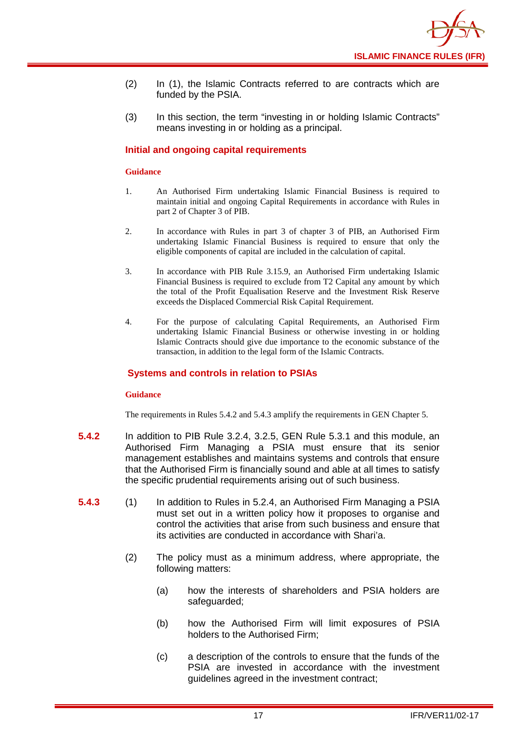- (2) In (1), the Islamic Contracts referred to are contracts which are funded by the PSIA.
- (3) In this section, the term "investing in or holding Islamic Contracts" means investing in or holding as a principal.

#### **Initial and ongoing capital requirements**

#### **Guidance**

- 1. An Authorised Firm undertaking Islamic Financial Business is required to maintain initial and ongoing Capital Requirements in accordance with Rules in part 2 of Chapter 3 of PIB.
- 2. In accordance with Rules in part 3 of chapter 3 of PIB, an Authorised Firm undertaking Islamic Financial Business is required to ensure that only the eligible components of capital are included in the calculation of capital.
- 3. In accordance with PIB Rule 3.15.9, an Authorised Firm undertaking Islamic Financial Business is required to exclude from T2 Capital any amount by which the total of the Profit Equalisation Reserve and the Investment Risk Reserve exceeds the Displaced Commercial Risk Capital Requirement.
- 4. For the purpose of calculating Capital Requirements, an Authorised Firm undertaking Islamic Financial Business or otherwise investing in or holding Islamic Contracts should give due importance to the economic substance of the transaction, in addition to the legal form of the Islamic Contracts.

#### **Systems and controls in relation to PSIAs**

#### **Guidance**

The requirements in Rules 5.4.2 and 5.4.3 amplify the requirements in GEN Chapter 5.

- **5.4.2** In addition to PIB Rule 3.2.4, 3.2.5, GEN Rule 5.3.1 and this module, an Authorised Firm Managing a PSIA must ensure that its senior management establishes and maintains systems and controls that ensure that the Authorised Firm is financially sound and able at all times to satisfy the specific prudential requirements arising out of such business.
- **5.4.3** (1) In addition to Rules in 5.2.4, an Authorised Firm Managing a PSIA must set out in a written policy how it proposes to organise and control the activities that arise from such business and ensure that its activities are conducted in accordance with Shari'a.
	- (2) The policy must as a minimum address, where appropriate, the following matters:
		- (a) how the interests of shareholders and PSIA holders are safeguarded;
		- (b) how the Authorised Firm will limit exposures of PSIA holders to the Authorised Firm;
		- (c) a description of the controls to ensure that the funds of the PSIA are invested in accordance with the investment guidelines agreed in the investment contract;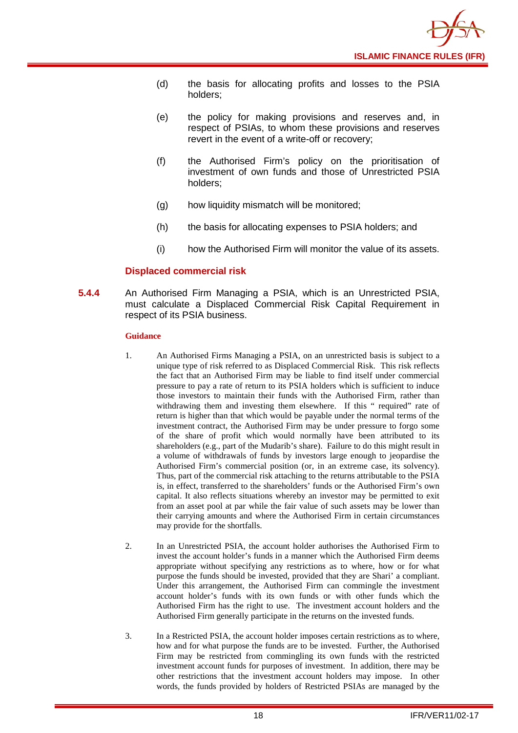

- (d) the basis for allocating profits and losses to the PSIA holders;
- (e) the policy for making provisions and reserves and, in respect of PSIAs, to whom these provisions and reserves revert in the event of a write-off or recovery;
- (f) the Authorised Firm's policy on the prioritisation of investment of own funds and those of Unrestricted PSIA holders;
- (g) how liquidity mismatch will be monitored;
- (h) the basis for allocating expenses to PSIA holders; and
- (i) how the Authorised Firm will monitor the value of its assets.

#### **Displaced commercial risk**

**5.4.4** An Authorised Firm Managing a PSIA, which is an Unrestricted PSIA, must calculate a Displaced Commercial Risk Capital Requirement in respect of its PSIA business.

#### **Guidance**

- 1. An Authorised Firms Managing a PSIA, on an unrestricted basis is subject to a unique type of risk referred to as Displaced Commercial Risk. This risk reflects the fact that an Authorised Firm may be liable to find itself under commercial pressure to pay a rate of return to its PSIA holders which is sufficient to induce those investors to maintain their funds with the Authorised Firm, rather than withdrawing them and investing them elsewhere. If this " required" rate of return is higher than that which would be payable under the normal terms of the investment contract, the Authorised Firm may be under pressure to forgo some of the share of profit which would normally have been attributed to its shareholders (e.g., part of the Mudarib's share). Failure to do this might result in a volume of withdrawals of funds by investors large enough to jeopardise the Authorised Firm's commercial position (or, in an extreme case, its solvency). Thus, part of the commercial risk attaching to the returns attributable to the PSIA is, in effect, transferred to the shareholders' funds or the Authorised Firm's own capital. It also reflects situations whereby an investor may be permitted to exit from an asset pool at par while the fair value of such assets may be lower than their carrying amounts and where the Authorised Firm in certain circumstances may provide for the shortfalls.
- 2. In an Unrestricted PSIA, the account holder authorises the Authorised Firm to invest the account holder's funds in a manner which the Authorised Firm deems appropriate without specifying any restrictions as to where, how or for what purpose the funds should be invested, provided that they are Shari' a compliant. Under this arrangement, the Authorised Firm can commingle the investment account holder's funds with its own funds or with other funds which the Authorised Firm has the right to use. The investment account holders and the Authorised Firm generally participate in the returns on the invested funds.
- 3. In a Restricted PSIA, the account holder imposes certain restrictions as to where, how and for what purpose the funds are to be invested. Further, the Authorised Firm may be restricted from commingling its own funds with the restricted investment account funds for purposes of investment. In addition, there may be other restrictions that the investment account holders may impose. In other words, the funds provided by holders of Restricted PSIAs are managed by the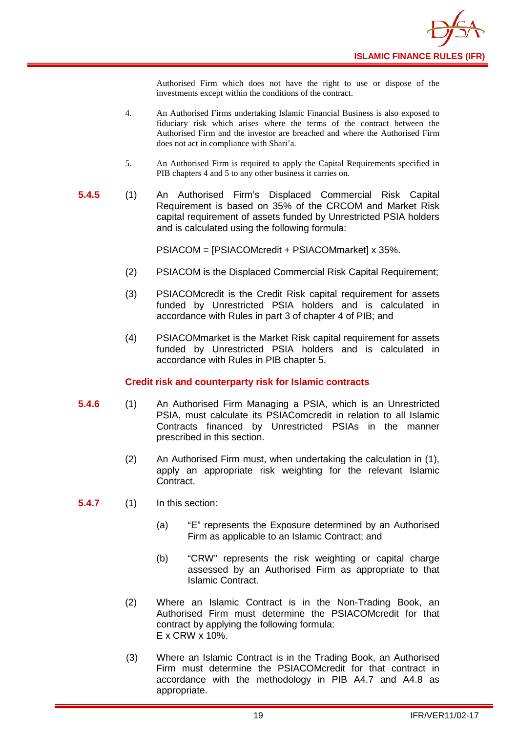Authorised Firm which does not have the right to use or dispose of the investments except within the conditions of the contract.

- 4. An Authorised Firms undertaking Islamic Financial Business is also exposed to fiduciary risk which arises where the terms of the contract between the Authorised Firm and the investor are breached and where the Authorised Firm does not act in compliance with Shari'a.
- 5. An Authorised Firm is required to apply the Capital Requirements specified in PIB chapters 4 and 5 to any other business it carries on.
- **5.4.5** (1) An Authorised Firm's Displaced Commercial Risk Capital Requirement is based on 35% of the CRCOM and Market Risk capital requirement of assets funded by Unrestricted PSIA holders and is calculated using the following formula:

PSIACOM = [PSIACOMcredit + PSIACOMmarket] x 35%.

- (2) PSIACOM is the Displaced Commercial Risk Capital Requirement;
- (3) PSIACOMcredit is the Credit Risk capital requirement for assets funded by Unrestricted PSIA holders and is calculated in accordance with Rules in part 3 of chapter 4 of PIB; and
- (4) PSIACOMmarket is the Market Risk capital requirement for assets funded by Unrestricted PSIA holders and is calculated in accordance with Rules in PIB chapter 5.

#### **Credit risk and counterparty risk for Islamic contracts**

- **5.4.6** (1) An Authorised Firm Managing a PSIA, which is an Unrestricted PSIA, must calculate its PSIAComcredit in relation to all Islamic Contracts financed by Unrestricted PSIAs in the manner prescribed in this section.
	- (2) An Authorised Firm must, when undertaking the calculation in (1), apply an appropriate risk weighting for the relevant Islamic Contract.

**5.4.7** (1) In this section:

- (a) "E" represents the Exposure determined by an Authorised Firm as applicable to an Islamic Contract; and
- (b) "CRW" represents the risk weighting or capital charge assessed by an Authorised Firm as appropriate to that Islamic Contract.
- (2) Where an Islamic Contract is in the Non-Trading Book, an Authorised Firm must determine the PSIACOMcredit for that contract by applying the following formula: E x CRW x 10%.
- (3) Where an Islamic Contract is in the Trading Book, an Authorised Firm must determine the PSIACOMcredit for that contract in accordance with the methodology in PIB A4.7 and A4.8 as appropriate.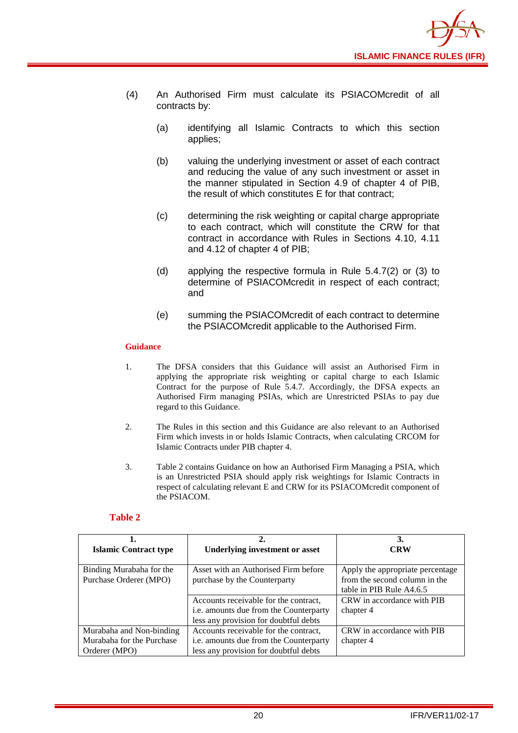

- (4) An Authorised Firm must calculate its PSIACOMcredit of all contracts by:
	- (a) identifying all Islamic Contracts to which this section applies;
	- (b) valuing the underlying investment or asset of each contract and reducing the value of any such investment or asset in the manner stipulated in Section 4.9 of chapter 4 of PIB, the result of which constitutes E for that contract;
	- (c) determining the risk weighting or capital charge appropriate to each contract, which will constitute the CRW for that contract in accordance with Rules in Sections 4.10, 4.11 and 4.12 of chapter 4 of PIB;
	- (d) applying the respective formula in Rule 5.4.7(2) or (3) to determine of PSIACOMcredit in respect of each contract; and
	- (e) summing the PSIACOMcredit of each contract to determine the PSIACOMcredit applicable to the Authorised Firm.

#### **Guidance**

- 1. The DFSA considers that this Guidance will assist an Authorised Firm in applying the appropriate risk weighting or capital charge to each Islamic Contract for the purpose of Rule 5.4.7. Accordingly, the DFSA expects an Authorised Firm managing PSIAs, which are Unrestricted PSIAs to pay due regard to this Guidance.
- 2. The Rules in this section and this Guidance are also relevant to an Authorised Firm which invests in or holds Islamic Contracts, when calculating CRCOM for Islamic Contracts under PIB chapter 4.
- 3. Table 2 contains Guidance on how an Authorised Firm Managing a PSIA, which is an Unrestricted PSIA should apply risk weightings for Islamic Contracts in respect of calculating relevant E and CRW for its PSIACOMcredit component of the PSIACOM.

#### **Table 2**

|                              |                                        | 3.                               |  |  |  |  |
|------------------------------|----------------------------------------|----------------------------------|--|--|--|--|
| <b>Islamic Contract type</b> | <b>Underlying investment or asset</b>  | CRW                              |  |  |  |  |
|                              |                                        |                                  |  |  |  |  |
| Binding Murabaha for the     | Asset with an Authorised Firm before   | Apply the appropriate percentage |  |  |  |  |
| Purchase Orderer (MPO)       | purchase by the Counterparty           | from the second column in the    |  |  |  |  |
|                              |                                        | table in PIB Rule A4.6.5         |  |  |  |  |
|                              | Accounts receivable for the contract,  | CRW in accordance with PIB       |  |  |  |  |
|                              | i.e. amounts due from the Counterparty | chapter 4                        |  |  |  |  |
|                              | less any provision for doubtful debts  |                                  |  |  |  |  |
| Murabaha and Non-binding     | Accounts receivable for the contract,  | CRW in accordance with PIB       |  |  |  |  |
| Murabaha for the Purchase    | i.e. amounts due from the Counterparty | chapter 4                        |  |  |  |  |
| Orderer (MPO)                | less any provision for doubtful debts  |                                  |  |  |  |  |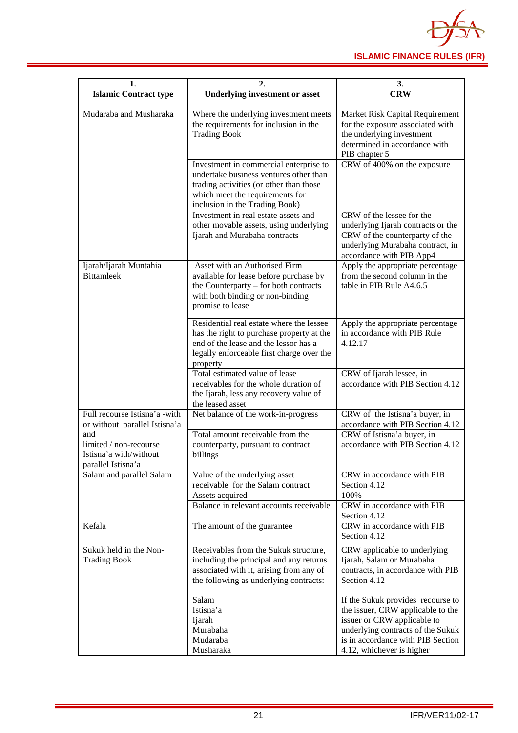

| 1.                                                                            | 2.                                                                                                                                                                                                          | 3.                                                                                                                                                                                                           |  |  |  |  |  |
|-------------------------------------------------------------------------------|-------------------------------------------------------------------------------------------------------------------------------------------------------------------------------------------------------------|--------------------------------------------------------------------------------------------------------------------------------------------------------------------------------------------------------------|--|--|--|--|--|
| <b>Islamic Contract type</b>                                                  | <b>Underlying investment or asset</b>                                                                                                                                                                       | <b>CRW</b>                                                                                                                                                                                                   |  |  |  |  |  |
| Mudaraba and Musharaka                                                        | Where the underlying investment meets<br>the requirements for inclusion in the<br><b>Trading Book</b>                                                                                                       | Market Risk Capital Requirement<br>for the exposure associated with<br>the underlying investment<br>determined in accordance with<br>PIB chapter 5                                                           |  |  |  |  |  |
|                                                                               | Investment in commercial enterprise to<br>undertake business ventures other than<br>trading activities (or other than those<br>which meet the requirements for<br>inclusion in the Trading Book)            | CRW of 400% on the exposure                                                                                                                                                                                  |  |  |  |  |  |
|                                                                               | Investment in real estate assets and<br>other movable assets, using underlying<br>Ijarah and Murabaha contracts                                                                                             | CRW of the lessee for the<br>underlying Ijarah contracts or the<br>CRW of the counterparty of the<br>underlying Murabaha contract, in                                                                        |  |  |  |  |  |
| Ijarah/Ijarah Muntahia<br><b>Bittamleek</b>                                   | Asset with an Authorised Firm<br>available for lease before purchase by<br>the Counterparty – for both contracts<br>with both binding or non-binding                                                        | accordance with PIB App4<br>Apply the appropriate percentage<br>from the second column in the<br>table in PIB Rule A4.6.5                                                                                    |  |  |  |  |  |
|                                                                               | promise to lease<br>Residential real estate where the lessee<br>has the right to purchase property at the<br>end of the lease and the lessor has a<br>legally enforceable first charge over the<br>property | Apply the appropriate percentage<br>in accordance with PIB Rule<br>4.12.17                                                                                                                                   |  |  |  |  |  |
|                                                                               | Total estimated value of lease<br>receivables for the whole duration of<br>the Ijarah, less any recovery value of<br>the leased asset                                                                       | CRW of Ijarah lessee, in<br>accordance with PIB Section 4.12                                                                                                                                                 |  |  |  |  |  |
| Full recourse Istisna'a -with<br>or without parallel Istisna'a                | Net balance of the work-in-progress                                                                                                                                                                         | CRW of the Istisna'a buyer, in<br>accordance with PIB Section 4.12                                                                                                                                           |  |  |  |  |  |
| and<br>limited / non-recourse<br>Istisna'a with/without<br>parallel Istisna'a | Total amount receivable from the<br>counterparty, pursuant to contract<br>billings                                                                                                                          | CRW of Istisna'a buyer, in<br>accordance with PIB Section 4.12                                                                                                                                               |  |  |  |  |  |
| Salam and parallel Salam                                                      | Value of the underlying asset<br>receivable for the Salam contract                                                                                                                                          | CRW in accordance with PIB<br>Section 4.12                                                                                                                                                                   |  |  |  |  |  |
|                                                                               | Assets acquired<br>Balance in relevant accounts receivable                                                                                                                                                  | 100%<br>CRW in accordance with PIB<br>Section 4.12                                                                                                                                                           |  |  |  |  |  |
| Kefala                                                                        | The amount of the guarantee                                                                                                                                                                                 | CRW in accordance with PIB<br>Section 4.12                                                                                                                                                                   |  |  |  |  |  |
| Sukuk held in the Non-<br><b>Trading Book</b>                                 | Receivables from the Sukuk structure,<br>including the principal and any returns<br>associated with it, arising from any of<br>the following as underlying contracts:                                       | CRW applicable to underlying<br>Ijarah, Salam or Murabaha<br>contracts, in accordance with PIB<br>Section 4.12                                                                                               |  |  |  |  |  |
|                                                                               | Salam<br>Istisna'a<br>Ijarah<br>Murabaha<br>Mudaraba<br>Musharaka                                                                                                                                           | If the Sukuk provides recourse to<br>the issuer, CRW applicable to the<br>issuer or CRW applicable to<br>underlying contracts of the Sukuk<br>is in accordance with PIB Section<br>4.12, whichever is higher |  |  |  |  |  |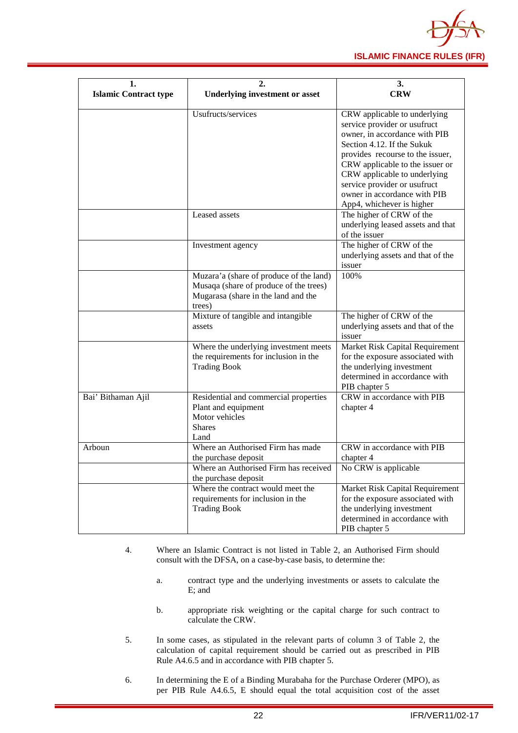

| 1.                           | 2.                                        | 3.                                                            |  |  |  |  |  |
|------------------------------|-------------------------------------------|---------------------------------------------------------------|--|--|--|--|--|
| <b>Islamic Contract type</b> | <b>Underlying investment or asset</b>     | <b>CRW</b>                                                    |  |  |  |  |  |
|                              |                                           |                                                               |  |  |  |  |  |
|                              | Usufructs/services                        | CRW applicable to underlying                                  |  |  |  |  |  |
|                              |                                           | service provider or usufruct                                  |  |  |  |  |  |
|                              |                                           | owner, in accordance with PIB                                 |  |  |  |  |  |
|                              |                                           | Section 4.12. If the Sukuk                                    |  |  |  |  |  |
|                              |                                           | provides recourse to the issuer,                              |  |  |  |  |  |
|                              |                                           | CRW applicable to the issuer or                               |  |  |  |  |  |
|                              |                                           | CRW applicable to underlying                                  |  |  |  |  |  |
|                              |                                           | service provider or usufruct                                  |  |  |  |  |  |
|                              |                                           | owner in accordance with PIB                                  |  |  |  |  |  |
|                              |                                           | App4, whichever is higher                                     |  |  |  |  |  |
|                              | Leased assets                             | The higher of CRW of the                                      |  |  |  |  |  |
|                              |                                           | underlying leased assets and that                             |  |  |  |  |  |
|                              |                                           | of the issuer                                                 |  |  |  |  |  |
|                              | Investment agency                         | The higher of CRW of the<br>underlying assets and that of the |  |  |  |  |  |
|                              |                                           | issuer                                                        |  |  |  |  |  |
|                              | Muzara'a (share of produce of the land)   | 100%                                                          |  |  |  |  |  |
|                              | Musaqa (share of produce of the trees)    |                                                               |  |  |  |  |  |
|                              | Mugarasa (share in the land and the       |                                                               |  |  |  |  |  |
|                              | trees)                                    |                                                               |  |  |  |  |  |
|                              | Mixture of tangible and intangible        | The higher of CRW of the                                      |  |  |  |  |  |
|                              | assets                                    | underlying assets and that of the                             |  |  |  |  |  |
|                              |                                           | issuer                                                        |  |  |  |  |  |
|                              | Where the underlying investment meets     | Market Risk Capital Requirement                               |  |  |  |  |  |
|                              | the requirements for inclusion in the     | for the exposure associated with                              |  |  |  |  |  |
|                              | <b>Trading Book</b>                       | the underlying investment                                     |  |  |  |  |  |
|                              |                                           | determined in accordance with                                 |  |  |  |  |  |
|                              |                                           | PIB chapter 5                                                 |  |  |  |  |  |
| Bai' Bithaman Ajil           | Residential and commercial properties     | CRW in accordance with PIB                                    |  |  |  |  |  |
|                              | Plant and equipment                       | chapter 4                                                     |  |  |  |  |  |
|                              | Motor vehicles                            |                                                               |  |  |  |  |  |
|                              | <b>Shares</b>                             |                                                               |  |  |  |  |  |
|                              | Land<br>Where an Authorised Firm has made | CRW in accordance with PIB                                    |  |  |  |  |  |
| Arboun                       | the purchase deposit                      |                                                               |  |  |  |  |  |
|                              | Where an Authorised Firm has received     | chapter 4<br>No CRW is applicable                             |  |  |  |  |  |
|                              | the purchase deposit                      |                                                               |  |  |  |  |  |
|                              | Where the contract would meet the         | Market Risk Capital Requirement                               |  |  |  |  |  |
|                              | requirements for inclusion in the         | for the exposure associated with                              |  |  |  |  |  |
|                              | <b>Trading Book</b>                       | the underlying investment                                     |  |  |  |  |  |
|                              |                                           | determined in accordance with                                 |  |  |  |  |  |
|                              |                                           | PIB chapter 5                                                 |  |  |  |  |  |

- 4. Where an Islamic Contract is not listed in Table 2, an Authorised Firm should consult with the DFSA, on a case-by-case basis, to determine the:
	- a. contract type and the underlying investments or assets to calculate the E; and
	- b. appropriate risk weighting or the capital charge for such contract to calculate the CRW.
- 5. In some cases, as stipulated in the relevant parts of column 3 of Table 2, the calculation of capital requirement should be carried out as prescribed in PIB Rule A4.6.5 and in accordance with PIB chapter 5.
- 6. In determining the E of a Binding Murabaha for the Purchase Orderer (MPO), as per PIB Rule A4.6.5, E should equal the total acquisition cost of the asset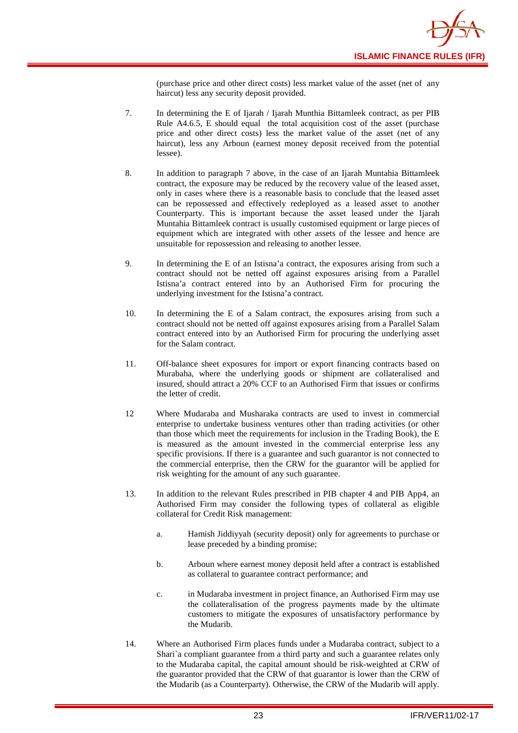

(purchase price and other direct costs) less market value of the asset (net of any haircut) less any security deposit provided.

- 7. In determining the E of Ijarah / Ijarah Munthia Bittamleek contract, as per PIB Rule A4.6.5, E should equal the total acquisition cost of the asset (purchase price and other direct costs) less the market value of the asset (net of any haircut), less any Arboun (earnest money deposit received from the potential lessee).
- 8. In addition to paragraph 7 above, in the case of an Ijarah Muntahia Bittamleek contract, the exposure may be reduced by the recovery value of the leased asset, only in cases where there is a reasonable basis to conclude that the leased asset can be repossessed and effectively redeployed as a leased asset to another Counterparty. This is important because the asset leased under the Ijarah Muntahia Bittamleek contract is usually customised equipment or large pieces of equipment which are integrated with other assets of the lessee and hence are unsuitable for repossession and releasing to another lessee.
- 9. In determining the E of an Istisna'a contract, the exposures arising from such a contract should not be netted off against exposures arising from a Parallel Istisna'a contract entered into by an Authorised Firm for procuring the underlying investment for the Istisna'a contract.
- 10. In determining the E of a Salam contract, the exposures arising from such a contract should not be netted off against exposures arising from a Parallel Salam contract entered into by an Authorised Firm for procuring the underlying asset for the Salam contract.
- 11. Off-balance sheet exposures for import or export financing contracts based on Murabaha, where the underlying goods or shipment are collateralised and insured, should attract a 20% CCF to an Authorised Firm that issues or confirms the letter of credit.
- 12 Where Mudaraba and Musharaka contracts are used to invest in commercial enterprise to undertake business ventures other than trading activities (or other than those which meet the requirements for inclusion in the Trading Book), the E is measured as the amount invested in the commercial enterprise less any specific provisions. If there is a guarantee and such guarantor is not connected to the commercial enterprise, then the CRW for the guarantor will be applied for risk weighting for the amount of any such guarantee.
- 13. In addition to the relevant Rules prescribed in PIB chapter 4 and PIB App4, an Authorised Firm may consider the following types of collateral as eligible collateral for Credit Risk management:
	- a. Hamish Jiddiyyah (security deposit) only for agreements to purchase or lease preceded by a binding promise;
	- b. Arboun where earnest money deposit held after a contract is established as collateral to guarantee contract performance; and
	- c. in Mudaraba investment in project finance, an Authorised Firm may use the collateralisation of the progress payments made by the ultimate customers to mitigate the exposures of unsatisfactory performance by the Mudarib.
- 14. Where an Authorised Firm places funds under a Mudaraba contract, subject to a Shari`a compliant guarantee from a third party and such a guarantee relates only to the Mudaraba capital, the capital amount should be risk-weighted at CRW of the guarantor provided that the CRW of that guarantor is lower than the CRW of the Mudarib (as a Counterparty). Otherwise, the CRW of the Mudarib will apply.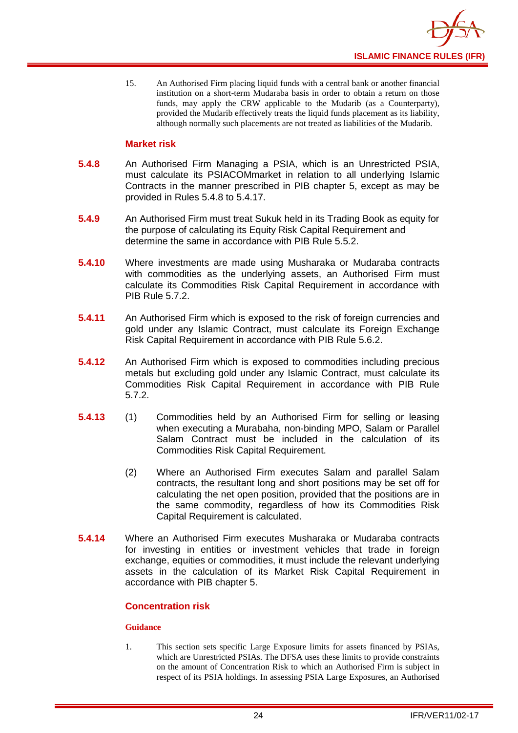

15. An Authorised Firm placing liquid funds with a central bank or another financial institution on a short-term Mudaraba basis in order to obtain a return on those funds, may apply the CRW applicable to the Mudarib (as a Counterparty), provided the Mudarib effectively treats the liquid funds placement as its liability, although normally such placements are not treated as liabilities of the Mudarib.

#### **Market risk**

- **5.4.8** An Authorised Firm Managing a PSIA, which is an Unrestricted PSIA, must calculate its PSIACOMmarket in relation to all underlying Islamic Contracts in the manner prescribed in PIB chapter 5, except as may be provided in Rules 5.4.8 to 5.4.17.
- **5.4.9** An Authorised Firm must treat Sukuk held in its Trading Book as equity for the purpose of calculating its Equity Risk Capital Requirement and determine the same in accordance with PIB Rule 5.5.2.
- **5.4.10** Where investments are made using Musharaka or Mudaraba contracts with commodities as the underlying assets, an Authorised Firm must calculate its Commodities Risk Capital Requirement in accordance with PIB Rule 5.7.2.
- **5.4.11** An Authorised Firm which is exposed to the risk of foreign currencies and gold under any Islamic Contract, must calculate its Foreign Exchange Risk Capital Requirement in accordance with PIB Rule 5.6.2.
- **5.4.12** An Authorised Firm which is exposed to commodities including precious metals but excluding gold under any Islamic Contract, must calculate its Commodities Risk Capital Requirement in accordance with PIB Rule 5.7.2.
- **5.4.13** (1) Commodities held by an Authorised Firm for selling or leasing when executing a Murabaha, non-binding MPO, Salam or Parallel Salam Contract must be included in the calculation of its Commodities Risk Capital Requirement.
	- (2) Where an Authorised Firm executes Salam and parallel Salam contracts, the resultant long and short positions may be set off for calculating the net open position, provided that the positions are in the same commodity, regardless of how its Commodities Risk Capital Requirement is calculated.
- **5.4.14** Where an Authorised Firm executes Musharaka or Mudaraba contracts for investing in entities or investment vehicles that trade in foreign exchange, equities or commodities, it must include the relevant underlying assets in the calculation of its Market Risk Capital Requirement in accordance with PIB chapter 5.

#### **Concentration risk**

#### **Guidance**

1. This section sets specific Large Exposure limits for assets financed by PSIAs, which are Unrestricted PSIAs. The DFSA uses these limits to provide constraints on the amount of Concentration Risk to which an Authorised Firm is subject in respect of its PSIA holdings. In assessing PSIA Large Exposures, an Authorised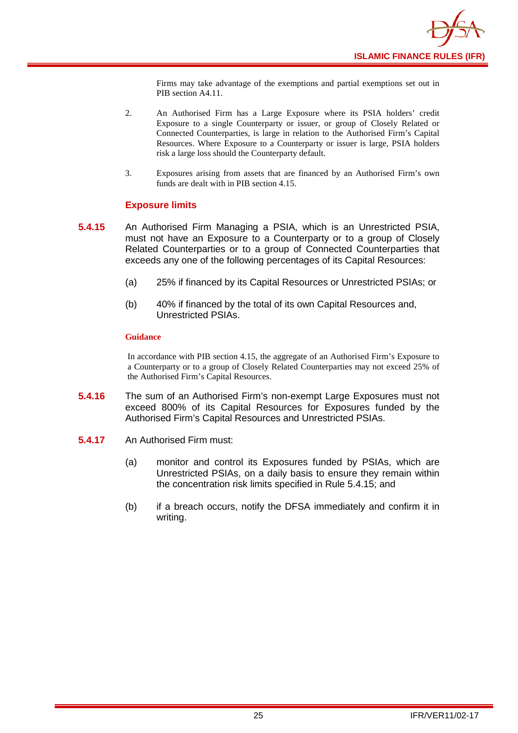

Firms may take advantage of the exemptions and partial exemptions set out in PIB section A4.11.

- 2. An Authorised Firm has a Large Exposure where its PSIA holders' credit Exposure to a single Counterparty or issuer, or group of Closely Related or Connected Counterparties, is large in relation to the Authorised Firm's Capital Resources. Where Exposure to a Counterparty or issuer is large, PSIA holders risk a large loss should the Counterparty default.
- 3. Exposures arising from assets that are financed by an Authorised Firm's own funds are dealt with in PIB section 4.15.

#### **Exposure limits**

- **5.4.15** An Authorised Firm Managing a PSIA, which is an Unrestricted PSIA, must not have an Exposure to a Counterparty or to a group of Closely Related Counterparties or to a group of Connected Counterparties that exceeds any one of the following percentages of its Capital Resources:
	- (a) 25% if financed by its Capital Resources or Unrestricted PSIAs; or
	- (b) 40% if financed by the total of its own Capital Resources and, Unrestricted PSIAs.

#### **Guidance**

In accordance with PIB section 4.15, the aggregate of an Authorised Firm's Exposure to a Counterparty or to a group of Closely Related Counterparties may not exceed 25% of the Authorised Firm's Capital Resources.

- **5.4.16** The sum of an Authorised Firm's non-exempt Large Exposures must not exceed 800% of its Capital Resources for Exposures funded by the Authorised Firm's Capital Resources and Unrestricted PSIAs.
- **5.4.17** An Authorised Firm must:
	- (a) monitor and control its Exposures funded by PSIAs, which are Unrestricted PSIAs, on a daily basis to ensure they remain within the concentration risk limits specified in Rule 5.4.15; and
	- (b) if a breach occurs, notify the DFSA immediately and confirm it in writing.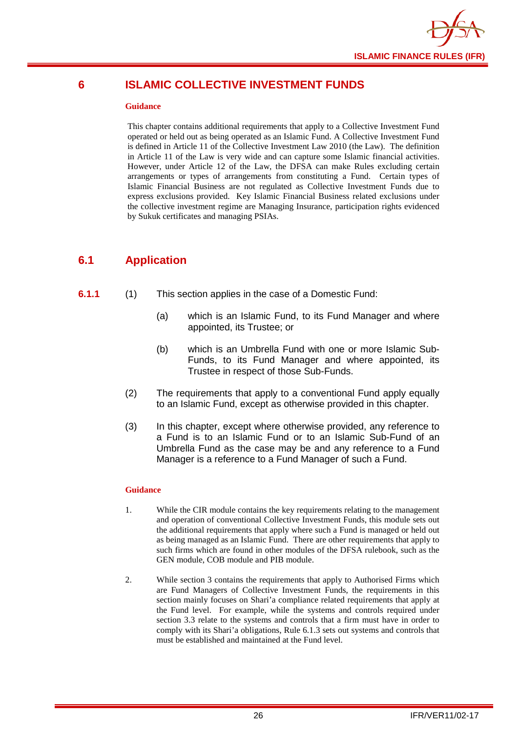

## <span id="page-28-0"></span>**6 ISLAMIC COLLECTIVE INVESTMENT FUNDS**

#### **Guidance**

This chapter contains additional requirements that apply to a Collective Investment Fund operated or held out as being operated as an Islamic Fund. A Collective Investment Fund is defined in Article 11 of the Collective Investment Law 2010 (the Law). The definition in Article 11 of the Law is very wide and can capture some Islamic financial activities. However, under Article 12 of the Law, the DFSA can make Rules excluding certain arrangements or types of arrangements from constituting a Fund. Certain types of Islamic Financial Business are not regulated as Collective Investment Funds due to express exclusions provided. Key Islamic Financial Business related exclusions under the collective investment regime are Managing Insurance, participation rights evidenced by Sukuk certificates and managing PSIAs.

## <span id="page-28-1"></span>**6.1 Application**

#### **6.1.1** (1) This section applies in the case of a Domestic Fund:

- (a) which is an Islamic Fund, to its Fund Manager and where appointed, its Trustee; or
- (b) which is an Umbrella Fund with one or more Islamic Sub-Funds, to its Fund Manager and where appointed, its Trustee in respect of those Sub-Funds.
- (2) The requirements that apply to a conventional Fund apply equally to an Islamic Fund, except as otherwise provided in this chapter.
- (3) In this chapter, except where otherwise provided, any reference to a Fund is to an Islamic Fund or to an Islamic Sub-Fund of an Umbrella Fund as the case may be and any reference to a Fund Manager is a reference to a Fund Manager of such a Fund.

#### **Guidance**

- 1. While the CIR module contains the key requirements relating to the management and operation of conventional Collective Investment Funds, this module sets out the additional requirements that apply where such a Fund is managed or held out as being managed as an Islamic Fund. There are other requirements that apply to such firms which are found in other modules of the DFSA rulebook, such as the GEN module, COB module and PIB module.
- 2. While section 3 contains the requirements that apply to Authorised Firms which are Fund Managers of Collective Investment Funds, the requirements in this section mainly focuses on Shari'a compliance related requirements that apply at the Fund level. For example, while the systems and controls required under section 3.3 relate to the systems and controls that a firm must have in order to comply with its Shari'a obligations, Rule 6.1.3 sets out systems and controls that must be established and maintained at the Fund level.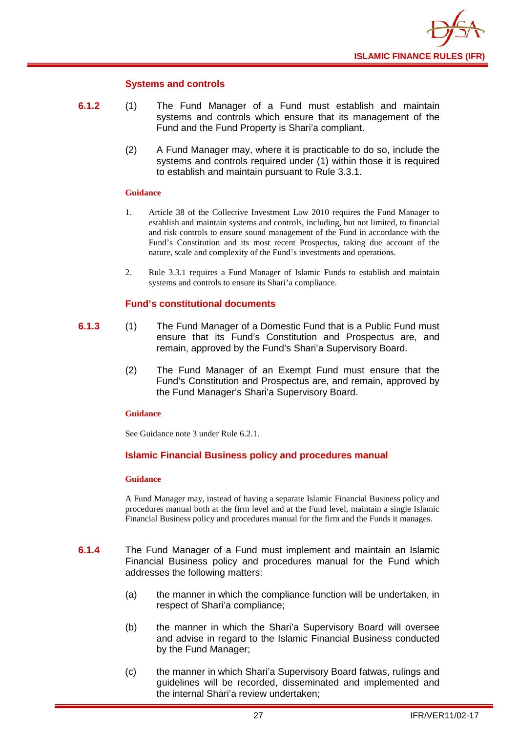

#### **Systems and controls**

- **6.1.2** (1) The Fund Manager of a Fund must establish and maintain systems and controls which ensure that its management of the Fund and the Fund Property is Shari'a compliant.
	- (2) A Fund Manager may, where it is practicable to do so, include the systems and controls required under (1) within those it is required to establish and maintain pursuant to Rule 3.3.1.

#### **Guidance**

- 1. Article 38 of the Collective Investment Law 2010 requires the Fund Manager to establish and maintain systems and controls, including, but not limited, to financial and risk controls to ensure sound management of the Fund in accordance with the Fund's Constitution and its most recent Prospectus, taking due account of the nature, scale and complexity of the Fund's investments and operations.
- 2. Rule 3.3.1 requires a Fund Manager of Islamic Funds to establish and maintain systems and controls to ensure its Shari'a compliance.

#### **Fund's constitutional documents**

- **6.1.3** (1) The Fund Manager of a Domestic Fund that is a Public Fund must ensure that its Fund's Constitution and Prospectus are, and remain, approved by the Fund's Shari'a Supervisory Board.
	- (2) The Fund Manager of an Exempt Fund must ensure that the Fund's Constitution and Prospectus are, and remain, approved by the Fund Manager's Shari'a Supervisory Board.

#### **Guidance**

See Guidance note 3 under Rule 6.2.1.

#### **Islamic Financial Business policy and procedures manual**

#### **Guidance**

A Fund Manager may, instead of having a separate Islamic Financial Business policy and procedures manual both at the firm level and at the Fund level, maintain a single Islamic Financial Business policy and procedures manual for the firm and the Funds it manages.

- **6.1.4** The Fund Manager of a Fund must implement and maintain an Islamic Financial Business policy and procedures manual for the Fund which addresses the following matters:
	- (a) the manner in which the compliance function will be undertaken, in respect of Shari'a compliance;
	- (b) the manner in which the Shari'a Supervisory Board will oversee and advise in regard to the Islamic Financial Business conducted by the Fund Manager;
	- (c) the manner in which Shari'a Supervisory Board fatwas, rulings and guidelines will be recorded, disseminated and implemented and the internal Shari'a review undertaken;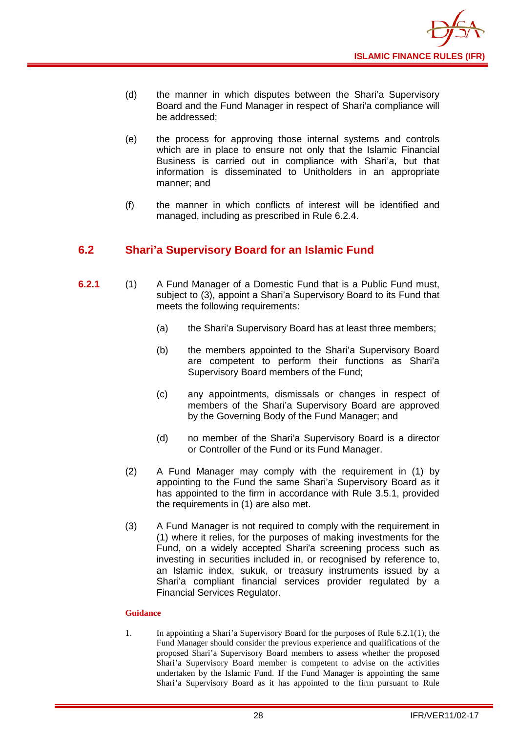

- (d) the manner in which disputes between the Shari'a Supervisory Board and the Fund Manager in respect of Shari'a compliance will be addressed;
- (e) the process for approving those internal systems and controls which are in place to ensure not only that the Islamic Financial Business is carried out in compliance with Shari'a, but that information is disseminated to Unitholders in an appropriate manner; and
- (f) the manner in which conflicts of interest will be identified and managed, including as prescribed in Rule 6.2.4.

## <span id="page-30-0"></span>**6.2 Shari'a Supervisory Board for an Islamic Fund**

- **6.2.1** (1) A Fund Manager of a Domestic Fund that is a Public Fund must, subject to (3), appoint a Shari'a Supervisory Board to its Fund that meets the following requirements:
	- (a) the Shari'a Supervisory Board has at least three members;
	- (b) the members appointed to the Shari'a Supervisory Board are competent to perform their functions as Shari'a Supervisory Board members of the Fund;
	- (c) any appointments, dismissals or changes in respect of members of the Shari'a Supervisory Board are approved by the Governing Body of the Fund Manager; and
	- (d) no member of the Shari'a Supervisory Board is a director or Controller of the Fund or its Fund Manager.
	- (2) A Fund Manager may comply with the requirement in (1) by appointing to the Fund the same Shari'a Supervisory Board as it has appointed to the firm in accordance with Rule 3.5.1, provided the requirements in (1) are also met.
	- (3) A Fund Manager is not required to comply with the requirement in (1) where it relies, for the purposes of making investments for the Fund, on a widely accepted Shari'a screening process such as investing in securities included in, or recognised by reference to, an Islamic index, sukuk, or treasury instruments issued by a Shari'a compliant financial services provider regulated by a Financial Services Regulator.

#### **Guidance**

1. In appointing a Shari'a Supervisory Board for the purposes of Rule 6.2.1(1), the Fund Manager should consider the previous experience and qualifications of the proposed Shari'a Supervisory Board members to assess whether the proposed Shari'a Supervisory Board member is competent to advise on the activities undertaken by the Islamic Fund. If the Fund Manager is appointing the same Shari'a Supervisory Board as it has appointed to the firm pursuant to Rule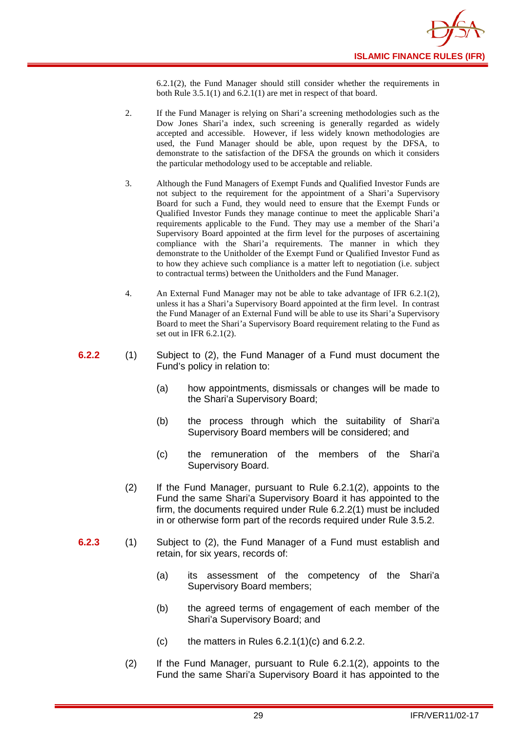6.2.1(2), the Fund Manager should still consider whether the requirements in both Rule 3.5.1(1) and 6.2.1(1) are met in respect of that board.

- 2. If the Fund Manager is relying on Shari'a screening methodologies such as the Dow Jones Shari'a index, such screening is generally regarded as widely accepted and accessible. However, if less widely known methodologies are used, the Fund Manager should be able, upon request by the DFSA, to demonstrate to the satisfaction of the DFSA the grounds on which it considers the particular methodology used to be acceptable and reliable.
- 3. Although the Fund Managers of Exempt Funds and Qualified Investor Funds are not subject to the requirement for the appointment of a Shari'a Supervisory Board for such a Fund, they would need to ensure that the Exempt Funds or Qualified Investor Funds they manage continue to meet the applicable Shari'a requirements applicable to the Fund. They may use a member of the Shari'a Supervisory Board appointed at the firm level for the purposes of ascertaining compliance with the Shari'a requirements. The manner in which they demonstrate to the Unitholder of the Exempt Fund or Qualified Investor Fund as to how they achieve such compliance is a matter left to negotiation (i.e. subject to contractual terms) between the Unitholders and the Fund Manager.
- 4. An External Fund Manager may not be able to take advantage of IFR 6.2.1(2), unless it has a Shari'a Supervisory Board appointed at the firm level. In contrast the Fund Manager of an External Fund will be able to use its Shari'a Supervisory Board to meet the Shari'a Supervisory Board requirement relating to the Fund as set out in IFR 6.2.1(2).
- **6.2.2** (1) Subject to (2), the Fund Manager of a Fund must document the Fund's policy in relation to:
	- (a) how appointments, dismissals or changes will be made to the Shari'a Supervisory Board;
	- (b) the process through which the suitability of Shari'a Supervisory Board members will be considered; and
	- (c) the remuneration of the members of the Shari'a Supervisory Board.
	- (2) If the Fund Manager, pursuant to Rule 6.2.1(2), appoints to the Fund the same Shari'a Supervisory Board it has appointed to the firm, the documents required under Rule 6.2.2(1) must be included in or otherwise form part of the records required under Rule 3.5.2.
- **6.2.3** (1) Subject to (2), the Fund Manager of a Fund must establish and retain, for six years, records of:
	- (a) its assessment of the competency of the Shari'a Supervisory Board members;
	- (b) the agreed terms of engagement of each member of the Shari'a Supervisory Board; and
	- (c) the matters in Rules  $6.2.1(1)(c)$  and  $6.2.2$ .
	- (2) If the Fund Manager, pursuant to Rule 6.2.1(2), appoints to the Fund the same Shari'a Supervisory Board it has appointed to the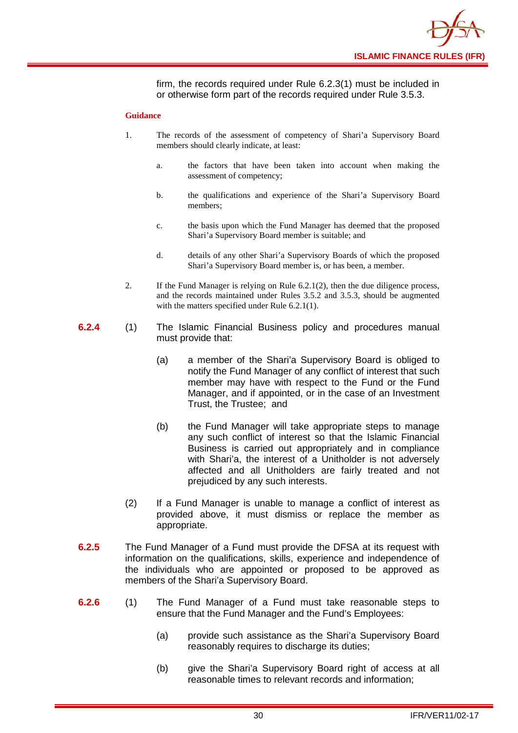

firm, the records required under Rule 6.2.3(1) must be included in or otherwise form part of the records required under Rule 3.5.3.

#### **Guidance**

- 1. The records of the assessment of competency of Shari'a Supervisory Board members should clearly indicate, at least:
	- a. the factors that have been taken into account when making the assessment of competency;
	- b. the qualifications and experience of the Shari'a Supervisory Board members;
	- c. the basis upon which the Fund Manager has deemed that the proposed Shari'a Supervisory Board member is suitable; and
	- d. details of any other Shari'a Supervisory Boards of which the proposed Shari'a Supervisory Board member is, or has been, a member.
- 2. If the Fund Manager is relying on Rule 6.2.1(2), then the due diligence process, and the records maintained under Rules 3.5.2 and 3.5.3, should be augmented with the matters specified under Rule 6.2.1(1).
- **6.2.4** (1) The Islamic Financial Business policy and procedures manual must provide that:
	- (a) a member of the Shari'a Supervisory Board is obliged to notify the Fund Manager of any conflict of interest that such member may have with respect to the Fund or the Fund Manager, and if appointed, or in the case of an Investment Trust, the Trustee; and
	- (b) the Fund Manager will take appropriate steps to manage any such conflict of interest so that the Islamic Financial Business is carried out appropriately and in compliance with Shari'a, the interest of a Unitholder is not adversely affected and all Unitholders are fairly treated and not prejudiced by any such interests.
	- (2) If a Fund Manager is unable to manage a conflict of interest as provided above, it must dismiss or replace the member as appropriate.
- **6.2.5** The Fund Manager of a Fund must provide the DFSA at its request with information on the qualifications, skills, experience and independence of the individuals who are appointed or proposed to be approved as members of the Shari'a Supervisory Board.
- **6.2.6** (1) The Fund Manager of a Fund must take reasonable steps to ensure that the Fund Manager and the Fund's Employees:
	- (a) provide such assistance as the Shari'a Supervisory Board reasonably requires to discharge its duties;
	- (b) give the Shari'a Supervisory Board right of access at all reasonable times to relevant records and information;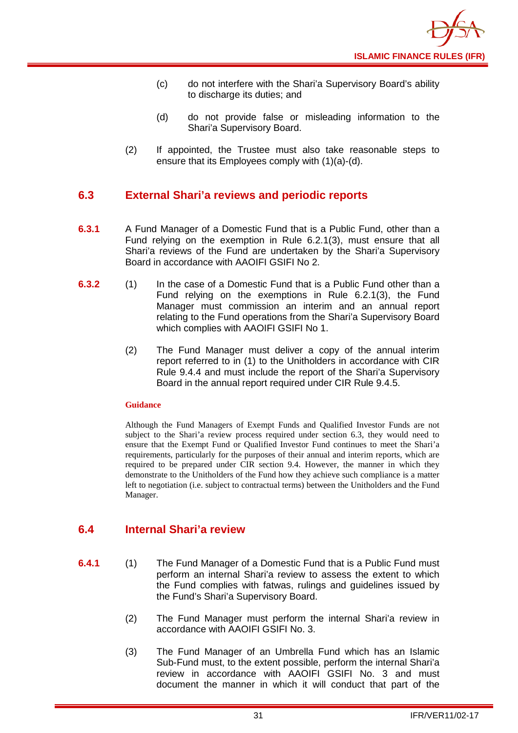- (c) do not interfere with the Shari'a Supervisory Board's ability to discharge its duties; and
- (d) do not provide false or misleading information to the Shari'a Supervisory Board.
- (2) If appointed, the Trustee must also take reasonable steps to ensure that its Employees comply with (1)(a)-(d).

## <span id="page-33-0"></span>**6.3 External Shari'a reviews and periodic reports**

- **6.3.1** A Fund Manager of a Domestic Fund that is a Public Fund, other than a Fund relying on the exemption in Rule 6.2.1(3), must ensure that all Shari'a reviews of the Fund are undertaken by the Shari'a Supervisory Board in accordance with AAOIFI GSIFI No 2.
- **6.3.2** (1) In the case of a Domestic Fund that is a Public Fund other than a Fund relying on the exemptions in Rule 6.2.1(3), the Fund Manager must commission an interim and an annual report relating to the Fund operations from the Shari'a Supervisory Board which complies with AAOIFI GSIFI No 1.
	- (2) The Fund Manager must deliver a copy of the annual interim report referred to in (1) to the Unitholders in accordance with CIR Rule 9.4.4 and must include the report of the Shari'a Supervisory Board in the annual report required under CIR Rule 9.4.5.

#### **Guidance**

Although the Fund Managers of Exempt Funds and Qualified Investor Funds are not subject to the Shari'a review process required under section 6.3, they would need to ensure that the Exempt Fund or Qualified Investor Fund continues to meet the Shari'a requirements, particularly for the purposes of their annual and interim reports, which are required to be prepared under CIR section 9.4. However, the manner in which they demonstrate to the Unitholders of the Fund how they achieve such compliance is a matter left to negotiation (i.e. subject to contractual terms) between the Unitholders and the Fund Manager.

## <span id="page-33-1"></span>**6.4 Internal Shari'a review**

- **6.4.1** (1) The Fund Manager of a Domestic Fund that is a Public Fund must perform an internal Shari'a review to assess the extent to which the Fund complies with fatwas, rulings and guidelines issued by the Fund's Shari'a Supervisory Board.
	- (2) The Fund Manager must perform the internal Shari'a review in accordance with AAOIFI GSIFI No. 3.
	- (3) The Fund Manager of an Umbrella Fund which has an Islamic Sub-Fund must, to the extent possible, perform the internal Shari'a review in accordance with AAOIFI GSIFI No. 3 and must document the manner in which it will conduct that part of the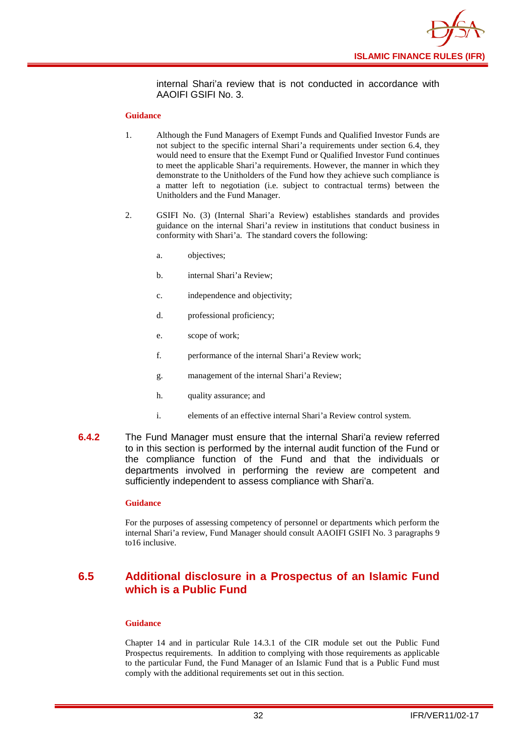

internal Shari'a review that is not conducted in accordance with AAOIFI GSIFI No. 3.

#### **Guidance**

- 1. Although the Fund Managers of Exempt Funds and Qualified Investor Funds are not subject to the specific internal Shari'a requirements under section 6.4, they would need to ensure that the Exempt Fund or Qualified Investor Fund continues to meet the applicable Shari'a requirements. However, the manner in which they demonstrate to the Unitholders of the Fund how they achieve such compliance is a matter left to negotiation (i.e. subject to contractual terms) between the Unitholders and the Fund Manager.
- 2. GSIFI No. (3) (Internal Shari'a Review) establishes standards and provides guidance on the internal Shari'a review in institutions that conduct business in conformity with Shari'a. The standard covers the following:
	- a. objectives;
	- b. internal Shari'a Review;
	- c. independence and objectivity;
	- d. professional proficiency;
	- e. scope of work;
	- f. performance of the internal Shari'a Review work;
	- g. management of the internal Shari'a Review;
	- h. quality assurance; and
	- i. elements of an effective internal Shari'a Review control system.
- **6.4.2** The Fund Manager must ensure that the internal Shari'a review referred to in this section is performed by the internal audit function of the Fund or the compliance function of the Fund and that the individuals or departments involved in performing the review are competent and sufficiently independent to assess compliance with Shari'a.

#### **Guidance**

For the purposes of assessing competency of personnel or departments which perform the internal Shari'a review, Fund Manager should consult AAOIFI GSIFI No. 3 paragraphs 9 to16 inclusive.

## <span id="page-34-0"></span>**6.5 Additional disclosure in a Prospectus of an Islamic Fund which is a Public Fund**

#### **Guidance**

Chapter 14 and in particular Rule 14.3.1 of the CIR module set out the Public Fund Prospectus requirements. In addition to complying with those requirements as applicable to the particular Fund, the Fund Manager of an Islamic Fund that is a Public Fund must comply with the additional requirements set out in this section.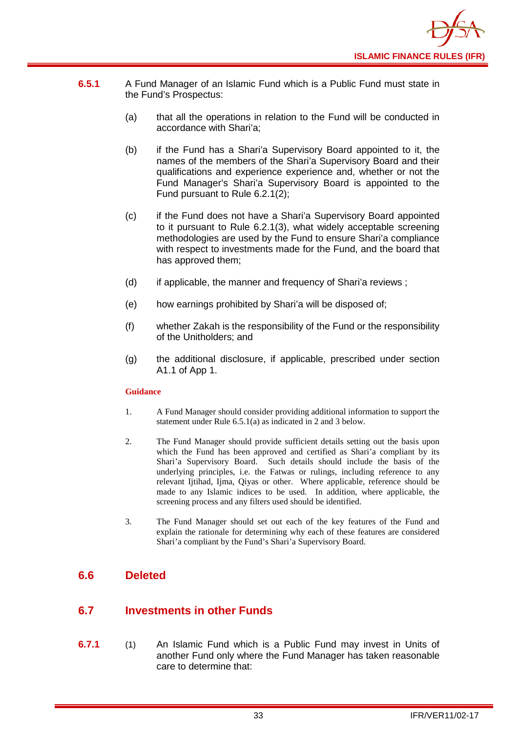

- **6.5.1** A Fund Manager of an Islamic Fund which is a Public Fund must state in the Fund's Prospectus:
	- (a) that all the operations in relation to the Fund will be conducted in accordance with Shari'a;
	- (b) if the Fund has a Shari'a Supervisory Board appointed to it, the names of the members of the Shari'a Supervisory Board and their qualifications and experience experience and, whether or not the Fund Manager's Shari'a Supervisory Board is appointed to the Fund pursuant to Rule 6.2.1(2);
	- (c) if the Fund does not have a Shari'a Supervisory Board appointed to it pursuant to Rule 6.2.1(3), what widely acceptable screening methodologies are used by the Fund to ensure Shari'a compliance with respect to investments made for the Fund, and the board that has approved them;
	- (d) if applicable, the manner and frequency of Shari'a reviews ;
	- (e) how earnings prohibited by Shari'a will be disposed of;
	- (f) whether Zakah is the responsibility of the Fund or the responsibility of the Unitholders; and
	- (g) the additional disclosure, if applicable, prescribed under section A1.1 of App 1.

#### **Guidance**

- 1. A Fund Manager should consider providing additional information to support the statement under Rule 6.5.1(a) as indicated in 2 and 3 below.
- 2. The Fund Manager should provide sufficient details setting out the basis upon which the Fund has been approved and certified as Shari'a compliant by its Shari'a Supervisory Board. Such details should include the basis of the underlying principles, i.e. the Fatwas or rulings, including reference to any relevant Ijtihad, Ijma, Qiyas or other. Where applicable, reference should be made to any Islamic indices to be used. In addition, where applicable, the screening process and any filters used should be identified.
- 3. The Fund Manager should set out each of the key features of the Fund and explain the rationale for determining why each of these features are considered Shari'a compliant by the Fund's Shari'a Supervisory Board.

## <span id="page-35-0"></span>**6.6 Deleted**

## <span id="page-35-1"></span>**6.7 Investments in other Funds**

**6.7.1** (1) An Islamic Fund which is a Public Fund may invest in Units of another [Fund](http://fsahandbook.info/FSA/glossary.jsp?doc=glossary%5Cglossary&gloss=G1043#G1043) only where the Fund Manager has taken reasonable care to determine that: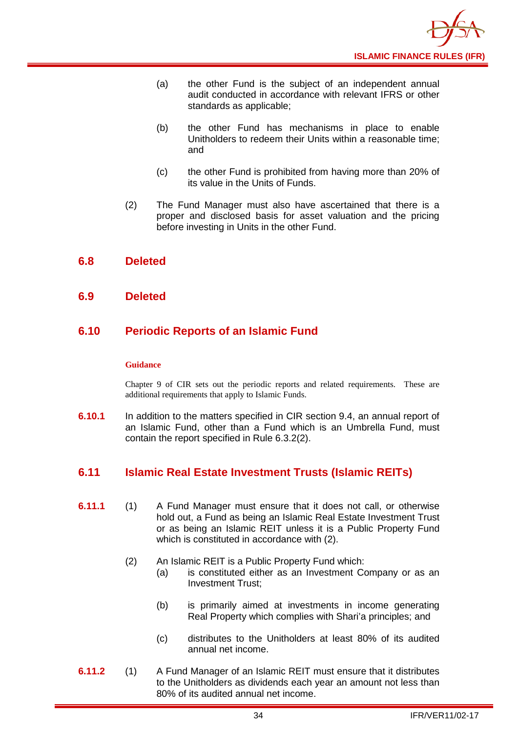

- (a) the other Fund is the subject of an independent annual audit conducted in accordance with relevant IFRS or other standards as applicable;
- (b) the other Fund has mechanisms in place to enable [Unitholders](http://fsahandbook.info/FSA/glossary.jsp?doc=glossary%5Cglossary&gloss=G1233#G1233) to redeem their [Units](http://fsahandbook.info/FSA/glossary.jsp?doc=glossary%5Cglossary&gloss=G1230#G1230) within a reasonable time; and
- (c) the other Fund is prohibited from having more than 20% of its value in the [Units](http://fsahandbook.info/FSA/glossary.jsp?doc=glossary%5Cglossary&gloss=G1230#G1230) of Funds.
- (2) The Fund Manager must also have ascertained that there is a proper and disclosed basis for asset valuation and the pricing before investing in [Units](http://fsahandbook.info/FSA/glossary.jsp?doc=glossary%5Cglossary&gloss=G1230#G1230) in the other [Fund.](http://fsahandbook.info/FSA/glossary.jsp?doc=glossary%5Cglossary&gloss=G1043#G1043)

## <span id="page-36-0"></span>**6.8 Deleted**

#### <span id="page-36-1"></span>**6.9 Deleted**

## <span id="page-36-2"></span>**6.10 Periodic Reports of an Islamic Fund**

#### **Guidance**

Chapter 9 of CIR sets out the periodic reports and related requirements. These are additional requirements that apply to Islamic Funds.

**6.10.1** In addition to the matters specified in CIR section 9.4, an annual report of an Islamic Fund, other than a Fund which is an [Umbrella](http://fsahandbook.info/FSA/glossary-html/handbook/Glossary/U?definition=G1222) Fund, must contain the report specified in Rule 6.3.2(2).

## <span id="page-36-3"></span>**6.11 Islamic Real Estate Investment Trusts (Islamic REITs)**

- **6.11.1** (1) A Fund Manager must ensure that it does not call, or otherwise hold out, a Fund as being an Islamic Real Estate Investment Trust or as being an Islamic REIT unless it is a Public Property Fund which is constituted in accordance with (2).
	- (2) An Islamic REIT is a Public Property Fund which:
		- (a) is constituted either as an Investment Company or as an Investment Trust;
		- (b) is primarily aimed at investments in income generating Real Property which complies with Shari'a principles; and
		- (c) distributes to the Unitholders at least 80% of its audited annual net income.
- **6.11.2** (1) A Fund Manager of an Islamic REIT must ensure that it distributes to the Unitholders as dividends each year an amount not less than 80% of its audited annual net income.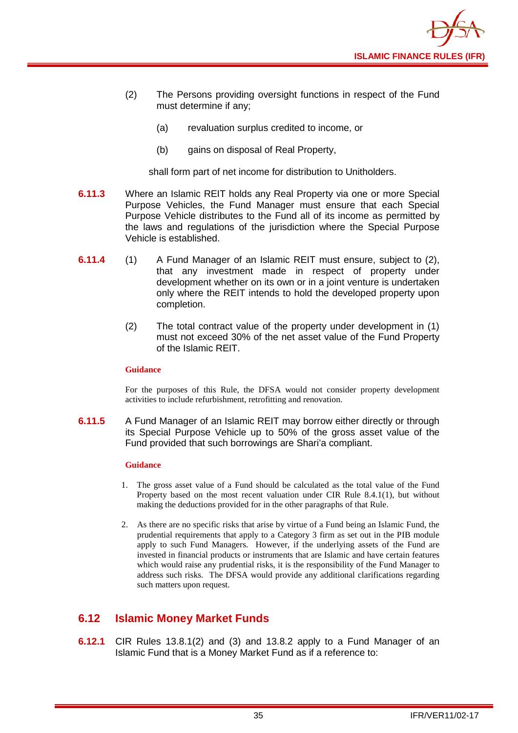

- (2) The Persons providing oversight functions in respect of the Fund must determine if any;
	- (a) revaluation surplus credited to income, or
	- (b) gains on disposal of Real Property,

shall form part of net income for distribution to Unitholders.

- **6.11.3** Where an Islamic REIT holds any Real Property via one or more Special Purpose Vehicles, the Fund Manager must ensure that each Special Purpose Vehicle distributes to the Fund all of its income as permitted by the laws and regulations of the jurisdiction where the Special Purpose Vehicle is established.
- **6.11.4** (1) A Fund Manager of an Islamic REIT must ensure, subject to (2), that any investment made in respect of property under development whether on its own or in a joint venture is undertaken only where the REIT intends to hold the developed property upon completion.
	- (2) The total contract value of the property under development in (1) must not exceed 30% of the net asset value of the Fund Property of the Islamic REIT.

#### **Guidance**

For the purposes of this Rule, the DFSA would not consider property development activities to include refurbishment, retrofitting and renovation.

**6.11.5** A Fund Manager of an Islamic REIT may borrow either directly or through its Special Purpose Vehicle up to 50% of the gross asset value of the Fund provided that such borrowings are Shari'a compliant.

#### **Guidance**

- 1. The gross asset value of a Fund should be calculated as the total value of the Fund Property based on the most recent valuation under CIR Rule 8.4.1(1), but without making the deductions provided for in the other paragraphs of that Rule.
- 2. As there are no specific risks that arise by virtue of a Fund being an Islamic Fund, the prudential requirements that apply to a Category 3 firm as set out in the PIB module apply to such Fund Managers. However, if the underlying assets of the Fund are invested in financial products or instruments that are Islamic and have certain features which would raise any prudential risks, it is the responsibility of the Fund Manager to address such risks. The DFSA would provide any additional clarifications regarding such matters upon request.

## <span id="page-37-0"></span>**6.12 Islamic Money Market Funds**

**6.12.1** CIR Rules 13.8.1(2) and (3) and 13.8.2 apply to a Fund Manager of an Islamic Fund that is a Money Market Fund as if a reference to: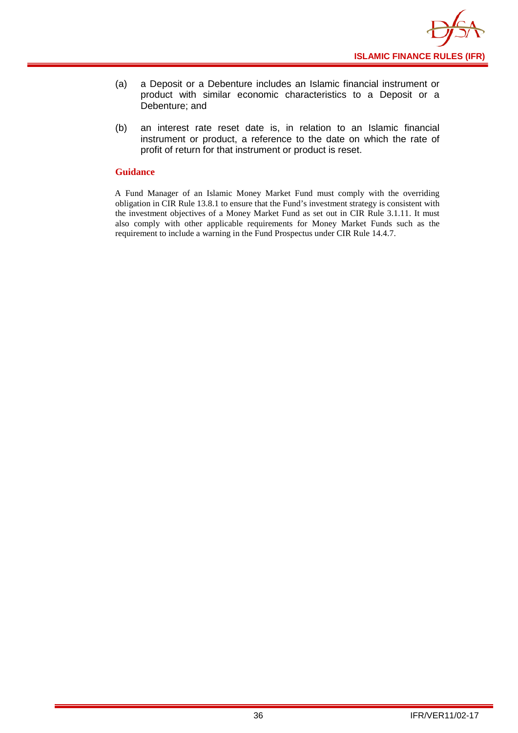

- (a) a Deposit or a Debenture includes an Islamic financial instrument or product with similar economic characteristics to a Deposit or a Debenture; and
- (b) an interest rate reset date is, in relation to an Islamic financial instrument or product, a reference to the date on which the rate of profit of return for that instrument or product is reset.

#### **Guidance**

A Fund Manager of an Islamic Money Market Fund must comply with the overriding obligation in CIR Rule 13.8.1 to ensure that the Fund's investment strategy is consistent with the investment objectives of a Money Market Fund as set out in CIR Rule 3.1.11. It must also comply with other applicable requirements for Money Market Funds such as the requirement to include a warning in the Fund Prospectus under CIR Rule 14.4.7.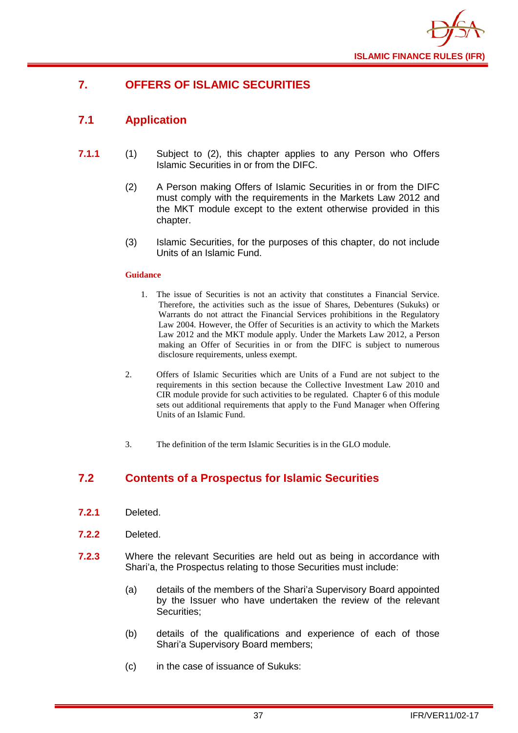

## <span id="page-39-0"></span>**7. OFFERS OF ISLAMIC SECURITIES**

## <span id="page-39-1"></span>**7.1 Application**

- **7.1.1** (1) Subject to (2), this chapter applies to any Person who Offers Islamic Securities in or from the DIFC.
	- (2) A Person making Offers of Islamic Securities in or from the DIFC must comply with the requirements in the Markets Law 2012 and the MKT module except to the extent otherwise provided in this chapter.
	- (3) Islamic Securities, for the purposes of this chapter, do not include Units of an Islamic Fund.

#### **Guidance**

- 1. The issue of Securities is not an activity that constitutes a Financial Service. Therefore, the activities such as the issue of Shares, Debentures (Sukuks) or Warrants do not attract the Financial Services prohibitions in the Regulatory Law 2004. However, the Offer of Securities is an activity to which the Markets Law 2012 and the MKT module apply. Under the Markets Law 2012, a Person making an Offer of Securities in or from the DIFC is subject to numerous disclosure requirements, unless exempt.
- 2. Offers of Islamic Securities which are Units of a Fund are not subject to the requirements in this section because the Collective Investment Law 2010 and CIR module provide for such activities to be regulated. Chapter 6 of this module sets out additional requirements that apply to the Fund Manager when Offering Units of an Islamic Fund.
- 3. The definition of the term Islamic Securities is in the GLO module.

## <span id="page-39-2"></span>**7.2 Contents of a Prospectus for Islamic Securities**

- **7.2.1** Deleted.
- **7.2.2** Deleted.
- **7.2.3** Where the relevant Securities are held out as being in accordance with Shari'a, the Prospectus relating to those Securities must include:
	- (a) details of the members of the Shari'a Supervisory Board appointed by the Issuer who have undertaken the review of the relevant Securities;
	- (b) details of the qualifications and experience of each of those Shari'a Supervisory Board members;
	- (c) in the case of issuance of Sukuks: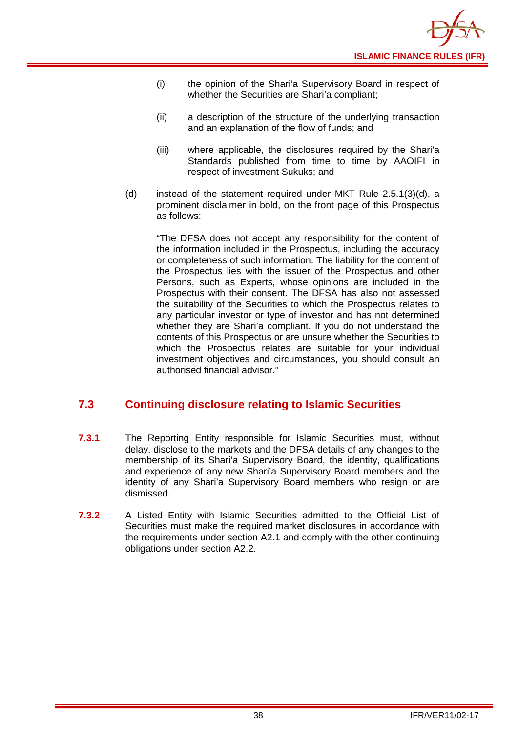- (i) the opinion of the Shari'a Supervisory Board in respect of whether the Securities are Shari'a compliant;
- (ii) a description of the structure of the underlying transaction and an explanation of the flow of funds; and
- (iii) where applicable, the disclosures required by the Shari'a Standards published from time to time by AAOIFI in respect of investment Sukuks; and
- (d) instead of the statement required under MKT Rule 2.5.1(3)(d), a prominent disclaimer in bold, on the front page of this Prospectus as follows:

"The DFSA does not accept any responsibility for the content of the information included in the Prospectus, including the accuracy or completeness of such information. The liability for the content of the Prospectus lies with the issuer of the Prospectus and other Persons, such as Experts, whose opinions are included in the Prospectus with their consent. The DFSA has also not assessed the suitability of the Securities to which the Prospectus relates to any particular investor or type of investor and has not determined whether they are Shari'a compliant. If you do not understand the contents of this Prospectus or are unsure whether the Securities to which the Prospectus relates are suitable for your individual investment objectives and circumstances, you should consult an authorised financial advisor."

## <span id="page-40-0"></span>**7.3 Continuing disclosure relating to Islamic Securities**

- **7.3.1** The Reporting Entity responsible for Islamic Securities must, without delay, disclose to the markets and the DFSA details of any changes to the membership of its Shari'a Supervisory Board, the identity, qualifications and experience of any new Shari'a Supervisory Board members and the identity of any Shari'a Supervisory Board members who resign or are dismissed.
- **7.3.2** A Listed Entity with Islamic Securities admitted to the Official List of Securities must make the required market disclosures in accordance with the requirements under section A2.1 and comply with the other continuing obligations under section A2.2.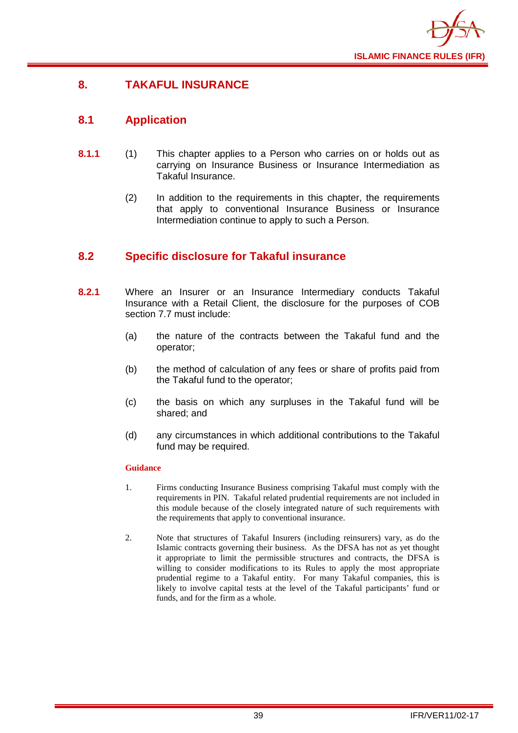

## <span id="page-41-0"></span>**8. TAKAFUL INSURANCE**

## <span id="page-41-1"></span>**8.1 Application**

- **8.1.1** (1) This chapter applies to a Person who carries on or holds out as carrying on Insurance Business or Insurance Intermediation as Takaful Insurance.
	- (2) In addition to the requirements in this chapter, the requirements that apply to conventional Insurance Business or Insurance Intermediation continue to apply to such a Person.

## <span id="page-41-2"></span>**8.2 Specific disclosure for Takaful insurance**

- **8.2.1** Where an Insurer or an Insurance Intermediary conducts Takaful Insurance with a Retail Client, the disclosure for the purposes of COB section 7.7 must include:
	- (a) the nature of the contracts between the Takaful fund and the operator;
	- (b) the method of calculation of any fees or share of profits paid from the Takaful fund to the operator;
	- (c) the basis on which any surpluses in the Takaful fund will be shared; and
	- (d) any circumstances in which additional contributions to the Takaful fund may be required.

#### **Guidance**

- 1. Firms conducting Insurance Business comprising Takaful must comply with the requirements in PIN. Takaful related prudential requirements are not included in this module because of the closely integrated nature of such requirements with the requirements that apply to conventional insurance.
- 2. Note that structures of Takaful Insurers (including reinsurers) vary, as do the Islamic contracts governing their business. As the DFSA has not as yet thought it appropriate to limit the permissible structures and contracts, the DFSA is willing to consider modifications to its Rules to apply the most appropriate prudential regime to a Takaful entity. For many Takaful companies, this is likely to involve capital tests at the level of the Takaful participants' fund or funds, and for the firm as a whole.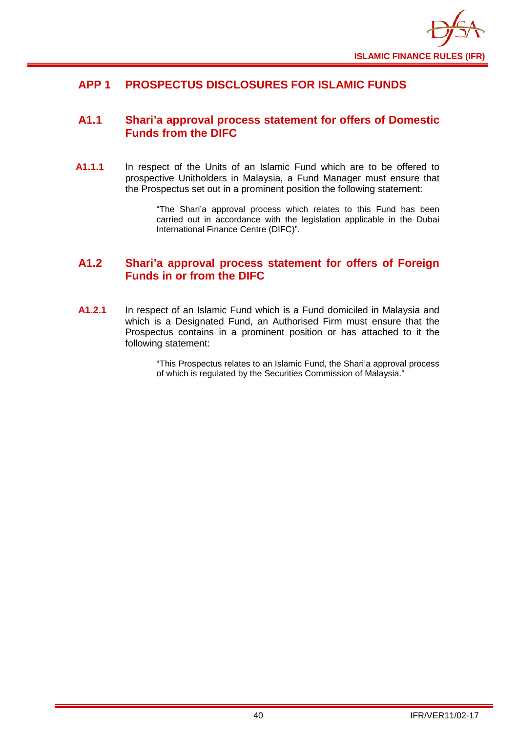

## <span id="page-42-0"></span>**APP 1 PROSPECTUS DISCLOSURES FOR ISLAMIC FUNDS**

## <span id="page-42-1"></span>**A1.1 Shari'a approval process statement for offers of Domestic Funds from the DIFC**

**A1.1.1** In respect of the Units of an Islamic Fund which are to be offered to prospective Unitholders in Malaysia, a Fund Manager must ensure that the Prospectus set out in a prominent position the following statement:

> "The Shari'a approval process which relates to this Fund has been carried out in accordance with the legislation applicable in the Dubai International Finance Centre (DIFC)".

## <span id="page-42-2"></span>**A1.2 Shari'a approval process statement for offers of Foreign Funds in or from the DIFC**

**A1.2.1** In respect of an Islamic Fund which is a Fund domiciled in Malaysia and which is a Designated Fund, an Authorised Firm must ensure that the Prospectus contains in a prominent position or has attached to it the following statement:

> "This Prospectus relates to an Islamic Fund, the Shari'a approval process of which is regulated by the Securities Commission of Malaysia."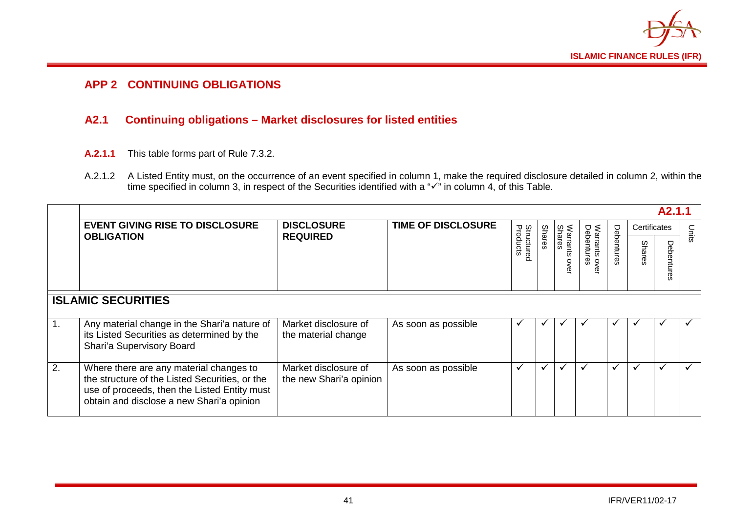

## **APP 2 CONTINUING OBLIGATIONS**

## **A2.1 Continuing obligations – Market disclosures for listed entities**

- **A.2.1.1** This table forms part of Rule 7.3.2.
- A.2.1.2 A Listed Entity must, on the occurrence of an event specified in column 1, make the required disclosure detailed in column 2, within the time specified in column 3, in respect of the Securities identified with a " $\checkmark$ " in column 4, of this Table.

<span id="page-43-1"></span><span id="page-43-0"></span>

|    |                                                                                                                                                                                        |                                                 |                           |                               |               |             |                                  |            |              | A <sub>2.1.1</sub> |       |
|----|----------------------------------------------------------------------------------------------------------------------------------------------------------------------------------------|-------------------------------------------------|---------------------------|-------------------------------|---------------|-------------|----------------------------------|------------|--------------|--------------------|-------|
|    | <b>EVENT GIVING RISE TO DISCLOSURE</b><br><b>OBLIGATION</b>                                                                                                                            | <b>DISCLOSURE</b><br><b>REQUIRED</b>            | <b>TIME OF DISCLOSURE</b> | <b>Structured</b><br>Products |               | Shares<br>శ |                                  |            | Certificates |                    | Units |
|    |                                                                                                                                                                                        |                                                 |                           |                               | <b>Shares</b> |             | Warrants o<br>Debentures<br>over | Debentures | Shares       | Ρe<br>ğ            |       |
|    | <b>ISLAMIC SECURITIES</b>                                                                                                                                                              |                                                 |                           |                               |               |             |                                  |            |              |                    |       |
|    | Any material change in the Shari'a nature of<br>its Listed Securities as determined by the<br>Shari'a Supervisory Board                                                                | Market disclosure of<br>the material change     | As soon as possible       |                               |               |             |                                  |            |              |                    |       |
| 2. | Where there are any material changes to<br>the structure of the Listed Securities, or the<br>use of proceeds, then the Listed Entity must<br>obtain and disclose a new Shari'a opinion | Market disclosure of<br>the new Shari'a opinion | As soon as possible       | $\checkmark$                  | ✓             | ✓           | ✓                                |            | ✓            | ✓                  | ✓     |